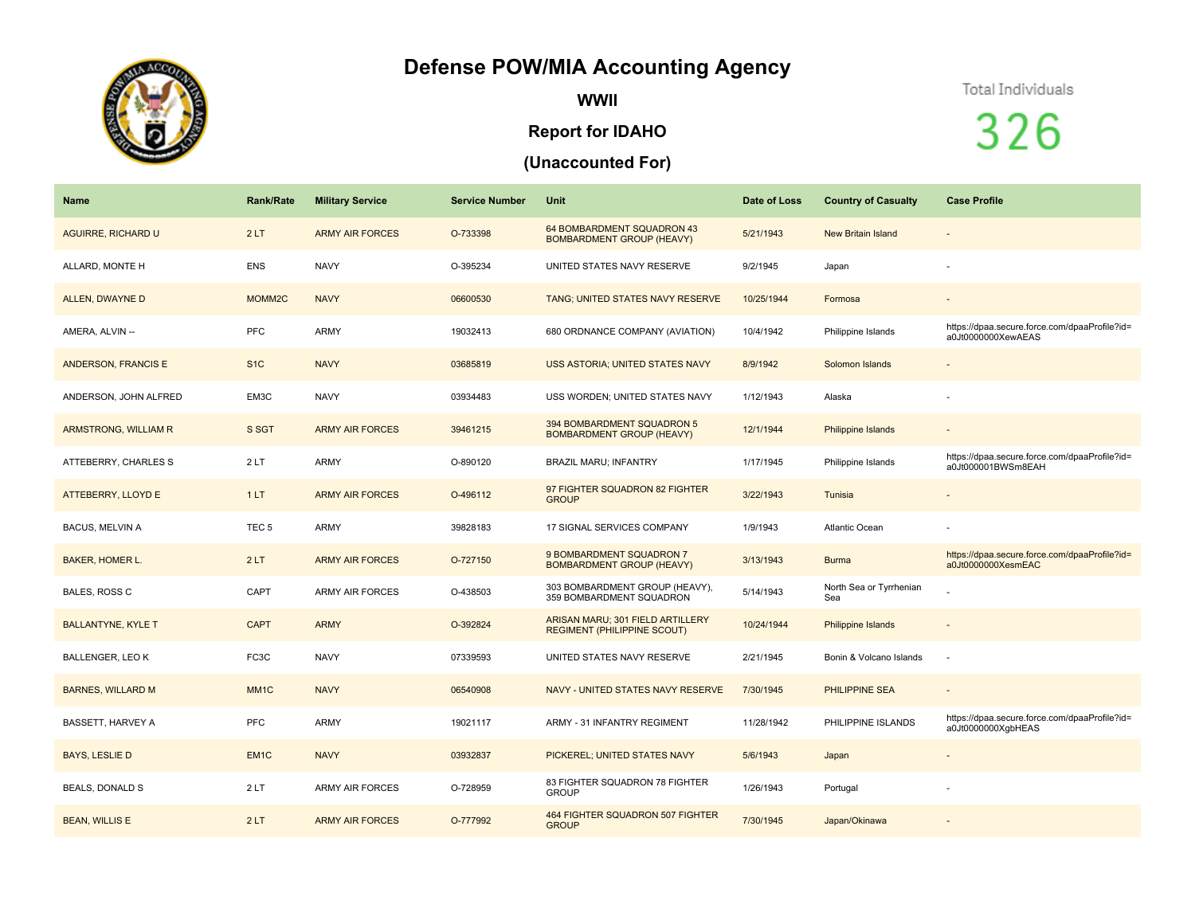## **Defense POW/MIA Accounting Agency**



**WWII**

## **Report for IDAHO**

## **(Unaccounted For)**

## Total Individuals

326

| <b>Name</b>               | <b>Rank/Rate</b>   | <b>Military Service</b> | <b>Service Number</b> | <b>Unit</b>                                                            | Date of Loss | <b>Country of Casualty</b>     | <b>Case Profile</b>                                                 |
|---------------------------|--------------------|-------------------------|-----------------------|------------------------------------------------------------------------|--------------|--------------------------------|---------------------------------------------------------------------|
| <b>AGUIRRE, RICHARD U</b> | 2LT                | <b>ARMY AIR FORCES</b>  | O-733398              | 64 BOMBARDMENT SQUADRON 43<br><b>BOMBARDMENT GROUP (HEAVY)</b>         | 5/21/1943    | <b>New Britain Island</b>      | $\overline{\phantom{a}}$                                            |
| ALLARD, MONTE H           | <b>ENS</b>         | <b>NAVY</b>             | O-395234              | UNITED STATES NAVY RESERVE                                             | 9/2/1945     | Japan                          |                                                                     |
| ALLEN, DWAYNE D           | MOMM <sub>2C</sub> | <b>NAVY</b>             | 06600530              | TANG; UNITED STATES NAVY RESERVE                                       | 10/25/1944   | Formosa                        |                                                                     |
| AMERA, ALVIN --           | <b>PFC</b>         | <b>ARMY</b>             | 19032413              | 680 ORDNANCE COMPANY (AVIATION)                                        | 10/4/1942    | Philippine Islands             | https://dpaa.secure.force.com/dpaaProfile?id=<br>a0Jt0000000XewAEAS |
| ANDERSON, FRANCIS E       | S <sub>1</sub> C   | <b>NAVY</b>             | 03685819              | <b>USS ASTORIA; UNITED STATES NAVY</b>                                 | 8/9/1942     | Solomon Islands                | $\overline{\phantom{a}}$                                            |
| ANDERSON, JOHN ALFRED     | EM3C               | <b>NAVY</b>             | 03934483              | USS WORDEN; UNITED STATES NAVY                                         | 1/12/1943    | Alaska                         |                                                                     |
| ARMSTRONG, WILLIAM R      | S SGT              | <b>ARMY AIR FORCES</b>  | 39461215              | 394 BOMBARDMENT SQUADRON 5<br><b>BOMBARDMENT GROUP (HEAVY)</b>         | 12/1/1944    | Philippine Islands             | $\overline{a}$                                                      |
| ATTEBERRY, CHARLES S      | 2LT                | <b>ARMY</b>             | O-890120              | <b>BRAZIL MARU; INFANTRY</b>                                           | 1/17/1945    | Philippine Islands             | https://dpaa.secure.force.com/dpaaProfile?id=<br>a0Jt000001BWSm8EAH |
| ATTEBERRY, LLOYD E        | 1LT                | <b>ARMY AIR FORCES</b>  | O-496112              | 97 FIGHTER SQUADRON 82 FIGHTER<br><b>GROUP</b>                         | 3/22/1943    | Tunisia                        | $\blacksquare$                                                      |
| <b>BACUS, MELVIN A</b>    | TEC <sub>5</sub>   | <b>ARMY</b>             | 39828183              | 17 SIGNAL SERVICES COMPANY                                             | 1/9/1943     | Atlantic Ocean                 |                                                                     |
| <b>BAKER, HOMER L.</b>    | 2LT                | <b>ARMY AIR FORCES</b>  | O-727150              | 9 BOMBARDMENT SQUADRON 7<br><b>BOMBARDMENT GROUP (HEAVY)</b>           | 3/13/1943    | <b>Burma</b>                   | https://dpaa.secure.force.com/dpaaProfile?id=<br>a0Jt0000000XesmEAC |
| <b>BALES, ROSS C</b>      | CAPT               | <b>ARMY AIR FORCES</b>  | O-438503              | 303 BOMBARDMENT GROUP (HEAVY),<br>359 BOMBARDMENT SQUADRON             | 5/14/1943    | North Sea or Tyrrhenian<br>Sea |                                                                     |
| <b>BALLANTYNE, KYLE T</b> | <b>CAPT</b>        | <b>ARMY</b>             | O-392824              | ARISAN MARU; 301 FIELD ARTILLERY<br><b>REGIMENT (PHILIPPINE SCOUT)</b> | 10/24/1944   | Philippine Islands             |                                                                     |
| <b>BALLENGER, LEO K</b>   | FC3C               | <b>NAVY</b>             | 07339593              | UNITED STATES NAVY RESERVE                                             | 2/21/1945    | Bonin & Volcano Islands        |                                                                     |
| <b>BARNES, WILLARD M</b>  | MM <sub>1C</sub>   | <b>NAVY</b>             | 06540908              | NAVY - UNITED STATES NAVY RESERVE                                      | 7/30/1945    | PHILIPPINE SEA                 | $\overline{\phantom{m}}$                                            |
| <b>BASSETT, HARVEY A</b>  | <b>PFC</b>         | <b>ARMY</b>             | 19021117              | ARMY - 31 INFANTRY REGIMENT                                            | 11/28/1942   | PHILIPPINE ISLANDS             | https://dpaa.secure.force.com/dpaaProfile?id=<br>a0Jt0000000XgbHEAS |
| <b>BAYS, LESLIE D</b>     | EM <sub>1C</sub>   | <b>NAVY</b>             | 03932837              | PICKEREL; UNITED STATES NAVY                                           | 5/6/1943     | Japan                          | $\overline{\phantom{a}}$                                            |
| <b>BEALS, DONALD S</b>    | 2LT                | <b>ARMY AIR FORCES</b>  | O-728959              | 83 FIGHTER SQUADRON 78 FIGHTER<br><b>GROUP</b>                         | 1/26/1943    | Portugal                       |                                                                     |
| <b>BEAN, WILLIS E</b>     | 2LT                | <b>ARMY AIR FORCES</b>  | O-777992              | 464 FIGHTER SQUADRON 507 FIGHTER<br><b>GROUP</b>                       | 7/30/1945    | Japan/Okinawa                  |                                                                     |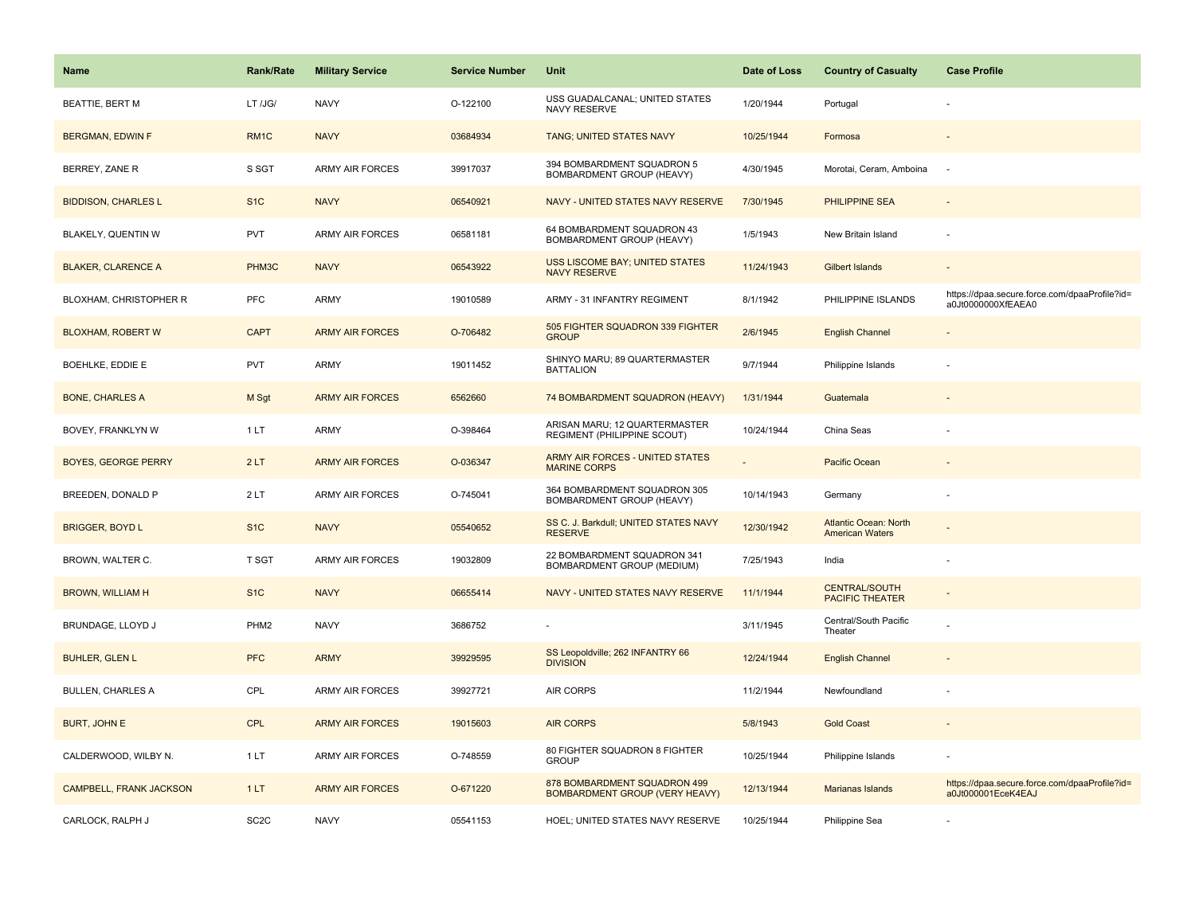| <b>Name</b>                | <b>Rank/Rate</b>  | <b>Military Service</b> | <b>Service Number</b> | Unit                                                                  | Date of Loss | <b>Country of Casualty</b>                             | <b>Case Profile</b>                                                 |
|----------------------------|-------------------|-------------------------|-----------------------|-----------------------------------------------------------------------|--------------|--------------------------------------------------------|---------------------------------------------------------------------|
| <b>BEATTIE, BERT M</b>     | LT /JG/           | <b>NAVY</b>             | O-122100              | USS GUADALCANAL; UNITED STATES<br>NAVY RESERVE                        | 1/20/1944    | Portugal                                               |                                                                     |
| <b>BERGMAN, EDWIN F</b>    | RM <sub>1C</sub>  | <b>NAVY</b>             | 03684934              | TANG; UNITED STATES NAVY                                              | 10/25/1944   | Formosa                                                |                                                                     |
| BERREY, ZANE R             | S SGT             | <b>ARMY AIR FORCES</b>  | 39917037              | 394 BOMBARDMENT SQUADRON 5<br>BOMBARDMENT GROUP (HEAVY)               | 4/30/1945    | Morotai, Ceram, Amboina                                |                                                                     |
| <b>BIDDISON, CHARLES L</b> | S <sub>1</sub> C  | <b>NAVY</b>             | 06540921              | NAVY - UNITED STATES NAVY RESERVE                                     | 7/30/1945    | PHILIPPINE SEA                                         |                                                                     |
| BLAKELY, QUENTIN W         | <b>PVT</b>        | <b>ARMY AIR FORCES</b>  | 06581181              | 64 BOMBARDMENT SQUADRON 43<br>BOMBARDMENT GROUP (HEAVY)               | 1/5/1943     | New Britain Island                                     |                                                                     |
| <b>BLAKER, CLARENCE A</b>  | PHM3C             | <b>NAVY</b>             | 06543922              | <b>USS LISCOME BAY; UNITED STATES</b><br><b>NAVY RESERVE</b>          | 11/24/1943   | <b>Gilbert Islands</b>                                 |                                                                     |
| BLOXHAM, CHRISTOPHER R     | <b>PFC</b>        | <b>ARMY</b>             | 19010589              | ARMY - 31 INFANTRY REGIMENT                                           | 8/1/1942     | PHILIPPINE ISLANDS                                     | https://dpaa.secure.force.com/dpaaProfile?id=<br>a0Jt0000000XfEAEA0 |
| <b>BLOXHAM, ROBERT W</b>   | <b>CAPT</b>       | <b>ARMY AIR FORCES</b>  | O-706482              | 505 FIGHTER SQUADRON 339 FIGHTER<br><b>GROUP</b>                      | 2/6/1945     | <b>English Channel</b>                                 |                                                                     |
| BOEHLKE, EDDIE E           | <b>PVT</b>        | <b>ARMY</b>             | 19011452              | SHINYO MARU; 89 QUARTERMASTER<br><b>BATTALION</b>                     | 9/7/1944     | Philippine Islands                                     |                                                                     |
| <b>BONE, CHARLES A</b>     | M Sgt             | <b>ARMY AIR FORCES</b>  | 6562660               | 74 BOMBARDMENT SQUADRON (HEAVY)                                       | 1/31/1944    | Guatemala                                              |                                                                     |
| BOVEY, FRANKLYN W          | 1 LT              | <b>ARMY</b>             | O-398464              | ARISAN MARU; 12 QUARTERMASTER<br>REGIMENT (PHILIPPINE SCOUT)          | 10/24/1944   | China Seas                                             |                                                                     |
| <b>BOYES, GEORGE PERRY</b> | 2LT               | <b>ARMY AIR FORCES</b>  | O-036347              | ARMY AIR FORCES - UNITED STATES<br><b>MARINE CORPS</b>                |              | Pacific Ocean                                          |                                                                     |
| BREEDEN, DONALD P          | 2LT               | <b>ARMY AIR FORCES</b>  | O-745041              | 364 BOMBARDMENT SQUADRON 305<br>BOMBARDMENT GROUP (HEAVY)             | 10/14/1943   | Germany                                                | ÷,                                                                  |
| <b>BRIGGER, BOYD L</b>     | S <sub>1</sub> C  | <b>NAVY</b>             | 05540652              | SS C. J. Barkdull; UNITED STATES NAVY<br><b>RESERVE</b>               | 12/30/1942   | <b>Atlantic Ocean: North</b><br><b>American Waters</b> |                                                                     |
| BROWN, WALTER C.           | T SGT             | <b>ARMY AIR FORCES</b>  | 19032809              | 22 BOMBARDMENT SQUADRON 341<br>BOMBARDMENT GROUP (MEDIUM)             | 7/25/1943    | India                                                  |                                                                     |
| <b>BROWN, WILLIAM H</b>    | S <sub>1</sub> C  | <b>NAVY</b>             | 06655414              | NAVY - UNITED STATES NAVY RESERVE                                     | 11/1/1944    | <b>CENTRAL/SOUTH</b><br><b>PACIFIC THEATER</b>         |                                                                     |
| BRUNDAGE, LLOYD J          | PHM <sub>2</sub>  | <b>NAVY</b>             | 3686752               |                                                                       | 3/11/1945    | Central/South Pacific<br>Theater                       |                                                                     |
| <b>BUHLER, GLEN L</b>      | <b>PFC</b>        | <b>ARMY</b>             | 39929595              | SS Leopoldville; 262 INFANTRY 66<br><b>DIVISION</b>                   | 12/24/1944   | <b>English Channel</b>                                 |                                                                     |
| <b>BULLEN, CHARLES A</b>   | CPL               | ARMY AIR FORCES         | 39927721              | AIR CORPS                                                             | 11/2/1944    | Newfoundland                                           |                                                                     |
| <b>BURT, JOHN E</b>        | <b>CPL</b>        | <b>ARMY AIR FORCES</b>  | 19015603              | <b>AIR CORPS</b>                                                      | 5/8/1943     | <b>Gold Coast</b>                                      |                                                                     |
| CALDERWOOD, WILBY N.       | 1LT               | ARMY AIR FORCES         | O-748559              | 80 FIGHTER SQUADRON 8 FIGHTER<br><b>GROUP</b>                         | 10/25/1944   | Philippine Islands                                     |                                                                     |
| CAMPBELL, FRANK JACKSON    | 1LT               | <b>ARMY AIR FORCES</b>  | O-671220              | 878 BOMBARDMENT SQUADRON 499<br><b>BOMBARDMENT GROUP (VERY HEAVY)</b> | 12/13/1944   | Marianas Islands                                       | https://dpaa.secure.force.com/dpaaProfile?id=<br>a0Jt000001EceK4EAJ |
| CARLOCK, RALPH J           | SC <sub>2</sub> C | <b>NAVY</b>             | 05541153              | HOEL; UNITED STATES NAVY RESERVE                                      | 10/25/1944   | Philippine Sea                                         |                                                                     |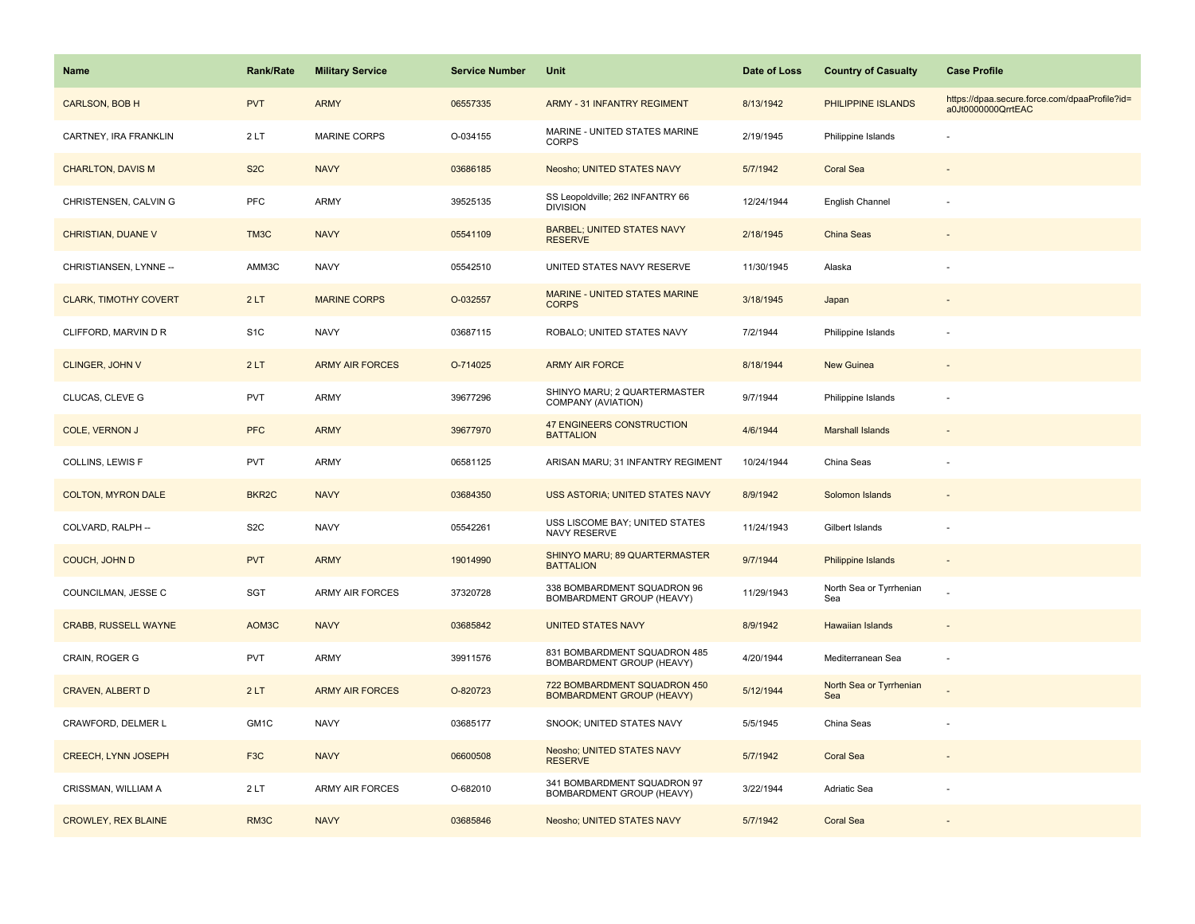| Name                         | Rank/Rate          | <b>Military Service</b> | <b>Service Number</b> | Unit                                                             | Date of Loss | <b>Country of Casualty</b>     | <b>Case Profile</b>                                                 |
|------------------------------|--------------------|-------------------------|-----------------------|------------------------------------------------------------------|--------------|--------------------------------|---------------------------------------------------------------------|
| CARLSON, BOB H               | <b>PVT</b>         | <b>ARMY</b>             | 06557335              | <b>ARMY - 31 INFANTRY REGIMENT</b>                               | 8/13/1942    | PHILIPPINE ISLANDS             | https://dpaa.secure.force.com/dpaaProfile?id=<br>a0Jt0000000QrrtEAC |
| CARTNEY, IRA FRANKLIN        | 2LT                | <b>MARINE CORPS</b>     | O-034155              | MARINE - UNITED STATES MARINE<br><b>CORPS</b>                    | 2/19/1945    | Philippine Islands             |                                                                     |
| <b>CHARLTON, DAVIS M</b>     | S <sub>2</sub> C   | <b>NAVY</b>             | 03686185              | Neosho; UNITED STATES NAVY                                       | 5/7/1942     | <b>Coral Sea</b>               |                                                                     |
| CHRISTENSEN, CALVIN G        | <b>PFC</b>         | ARMY                    | 39525135              | SS Leopoldville; 262 INFANTRY 66<br><b>DIVISION</b>              | 12/24/1944   | English Channel                |                                                                     |
| CHRISTIAN, DUANE V           | TM3C               | <b>NAVY</b>             | 05541109              | <b>BARBEL; UNITED STATES NAVY</b><br><b>RESERVE</b>              | 2/18/1945    | China Seas                     |                                                                     |
| CHRISTIANSEN, LYNNE --       | AMM3C              | <b>NAVY</b>             | 05542510              | UNITED STATES NAVY RESERVE                                       | 11/30/1945   | Alaska                         |                                                                     |
| <b>CLARK, TIMOTHY COVERT</b> | 2LT                | <b>MARINE CORPS</b>     | O-032557              | <b>MARINE - UNITED STATES MARINE</b><br><b>CORPS</b>             | 3/18/1945    | Japan                          |                                                                     |
| CLIFFORD, MARVIN D R         | S <sub>1</sub> C   | <b>NAVY</b>             | 03687115              | ROBALO; UNITED STATES NAVY                                       | 7/2/1944     | Philippine Islands             |                                                                     |
| <b>CLINGER, JOHN V</b>       | 2LT                | <b>ARMY AIR FORCES</b>  | O-714025              | <b>ARMY AIR FORCE</b>                                            | 8/18/1944    | <b>New Guinea</b>              |                                                                     |
| CLUCAS, CLEVE G              | <b>PVT</b>         | ARMY                    | 39677296              | SHINYO MARU; 2 QUARTERMASTER<br>COMPANY (AVIATION)               | 9/7/1944     | Philippine Islands             | ÷,                                                                  |
| <b>COLE, VERNON J</b>        | <b>PFC</b>         | <b>ARMY</b>             | 39677970              | <b>47 ENGINEERS CONSTRUCTION</b><br><b>BATTALION</b>             | 4/6/1944     | <b>Marshall Islands</b>        |                                                                     |
| COLLINS, LEWIS F             | <b>PVT</b>         | ARMY                    | 06581125              | ARISAN MARU; 31 INFANTRY REGIMENT                                | 10/24/1944   | China Seas                     |                                                                     |
| <b>COLTON, MYRON DALE</b>    | BKR <sub>2</sub> C | <b>NAVY</b>             | 03684350              | USS ASTORIA; UNITED STATES NAVY                                  | 8/9/1942     | Solomon Islands                |                                                                     |
| COLVARD, RALPH --            | S <sub>2</sub> C   | <b>NAVY</b>             | 05542261              | USS LISCOME BAY; UNITED STATES<br>NAVY RESERVE                   | 11/24/1943   | Gilbert Islands                |                                                                     |
| COUCH, JOHN D                | <b>PVT</b>         | <b>ARMY</b>             | 19014990              | SHINYO MARU; 89 QUARTERMASTER<br><b>BATTALION</b>                | 9/7/1944     | Philippine Islands             | $\blacksquare$                                                      |
| COUNCILMAN, JESSE C          | SGT                | <b>ARMY AIR FORCES</b>  | 37320728              | 338 BOMBARDMENT SQUADRON 96<br>BOMBARDMENT GROUP (HEAVY)         | 11/29/1943   | North Sea or Tyrrhenian<br>Sea |                                                                     |
| <b>CRABB, RUSSELL WAYNE</b>  | AOM3C              | <b>NAVY</b>             | 03685842              | <b>UNITED STATES NAVY</b>                                        | 8/9/1942     | <b>Hawaiian Islands</b>        |                                                                     |
| CRAIN, ROGER G               | <b>PVT</b>         | ARMY                    | 39911576              | 831 BOMBARDMENT SQUADRON 485<br>BOMBARDMENT GROUP (HEAVY)        | 4/20/1944    | Mediterranean Sea              | $\overline{\phantom{a}}$                                            |
| <b>CRAVEN, ALBERT D</b>      | 2LT                | <b>ARMY AIR FORCES</b>  | O-820723              | 722 BOMBARDMENT SQUADRON 450<br><b>BOMBARDMENT GROUP (HEAVY)</b> | 5/12/1944    | North Sea or Tyrrhenian<br>Sea |                                                                     |
| CRAWFORD, DELMER L           | GM1C               | <b>NAVY</b>             | 03685177              | SNOOK; UNITED STATES NAVY                                        | 5/5/1945     | China Seas                     |                                                                     |
| <b>CREECH, LYNN JOSEPH</b>   | F <sub>3</sub> C   | <b>NAVY</b>             | 06600508              | Neosho; UNITED STATES NAVY<br><b>RESERVE</b>                     | 5/7/1942     | <b>Coral Sea</b>               |                                                                     |
| CRISSMAN, WILLIAM A          | 2LT                | <b>ARMY AIR FORCES</b>  | O-682010              | 341 BOMBARDMENT SQUADRON 97<br>BOMBARDMENT GROUP (HEAVY)         | 3/22/1944    | Adriatic Sea                   |                                                                     |
| <b>CROWLEY, REX BLAINE</b>   | RM <sub>3</sub> C  | <b>NAVY</b>             | 03685846              | Neosho; UNITED STATES NAVY                                       | 5/7/1942     | <b>Coral Sea</b>               |                                                                     |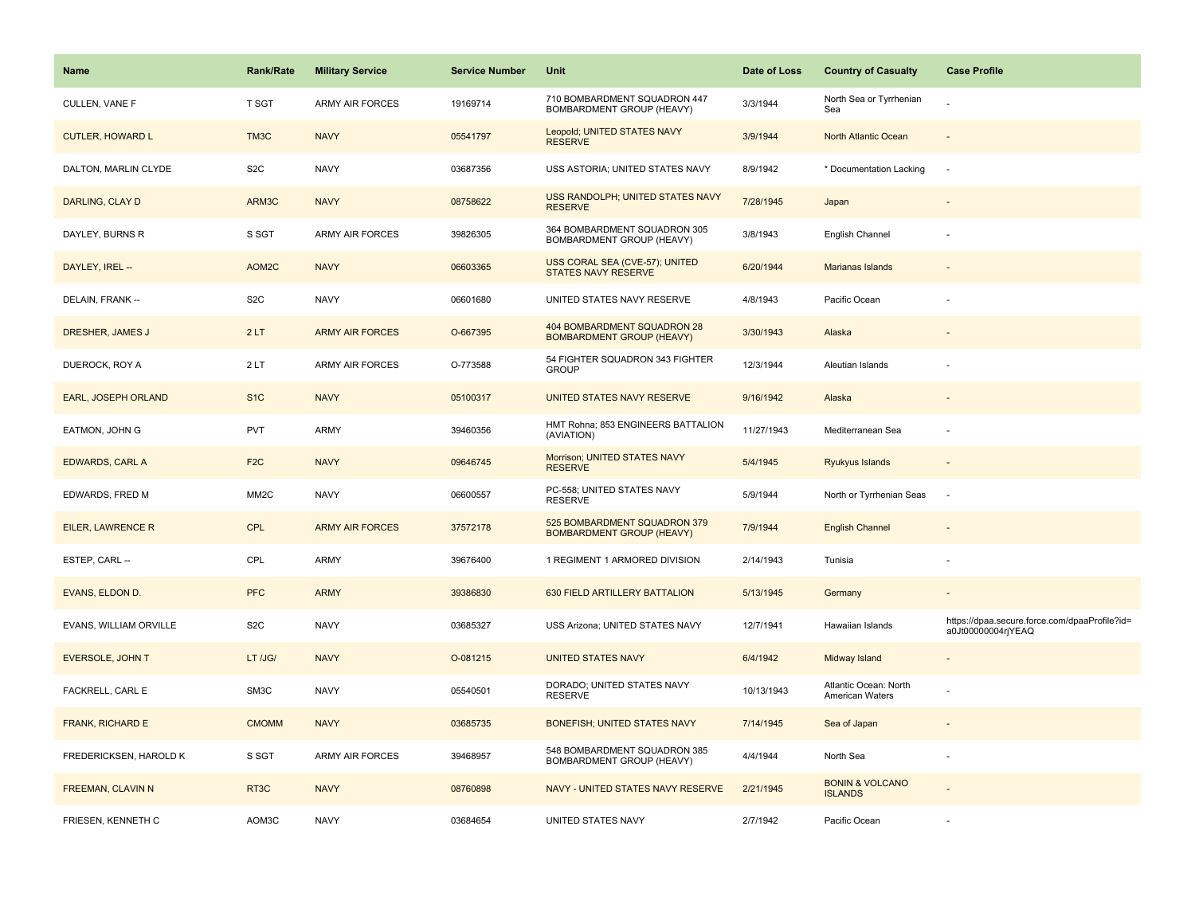| Name                    | <b>Rank/Rate</b>  | <b>Military Service</b> | <b>Service Number</b> | Unit                                                             | Date of Loss | <b>Country of Casualty</b>                   | <b>Case Profile</b>                                                 |
|-------------------------|-------------------|-------------------------|-----------------------|------------------------------------------------------------------|--------------|----------------------------------------------|---------------------------------------------------------------------|
| CULLEN, VANE F          | T SGT             | <b>ARMY AIR FORCES</b>  | 19169714              | 710 BOMBARDMENT SQUADRON 447<br>BOMBARDMENT GROUP (HEAVY)        | 3/3/1944     | North Sea or Tyrrhenian<br>Sea               |                                                                     |
| <b>CUTLER, HOWARD L</b> | TM3C              | <b>NAVY</b>             | 05541797              | Leopold; UNITED STATES NAVY<br><b>RESERVE</b>                    | 3/9/1944     | North Atlantic Ocean                         |                                                                     |
| DALTON, MARLIN CLYDE    | S <sub>2</sub> C  | <b>NAVY</b>             | 03687356              | USS ASTORIA; UNITED STATES NAVY                                  | 8/9/1942     | * Documentation Lacking                      | $\sim$                                                              |
| DARLING, CLAY D         | ARM3C             | <b>NAVY</b>             | 08758622              | USS RANDOLPH; UNITED STATES NAVY<br><b>RESERVE</b>               | 7/28/1945    | Japan                                        |                                                                     |
| DAYLEY, BURNS R         | S SGT             | <b>ARMY AIR FORCES</b>  | 39826305              | 364 BOMBARDMENT SQUADRON 305<br>BOMBARDMENT GROUP (HEAVY)        | 3/8/1943     | English Channel                              |                                                                     |
| DAYLEY, IREL --         | AOM2C             | <b>NAVY</b>             | 06603365              | USS CORAL SEA (CVE-57); UNITED<br><b>STATES NAVY RESERVE</b>     | 6/20/1944    | Marianas Islands                             |                                                                     |
| DELAIN, FRANK --        | S <sub>2</sub> C  | <b>NAVY</b>             | 06601680              | UNITED STATES NAVY RESERVE                                       | 4/8/1943     | Pacific Ocean                                |                                                                     |
| DRESHER, JAMES J        | 2LT               | <b>ARMY AIR FORCES</b>  | O-667395              | 404 BOMBARDMENT SQUADRON 28<br><b>BOMBARDMENT GROUP (HEAVY)</b>  | 3/30/1943    | Alaska                                       |                                                                     |
| DUEROCK, ROY A          | 2LT               | ARMY AIR FORCES         | O-773588              | 54 FIGHTER SQUADRON 343 FIGHTER<br><b>GROUP</b>                  | 12/3/1944    | Aleutian Islands                             |                                                                     |
| EARL, JOSEPH ORLAND     | S <sub>1C</sub>   | <b>NAVY</b>             | 05100317              | UNITED STATES NAVY RESERVE                                       | 9/16/1942    | Alaska                                       |                                                                     |
| EATMON, JOHN G          | <b>PVT</b>        | ARMY                    | 39460356              | HMT Rohna; 853 ENGINEERS BATTALION<br>(AVIATION)                 | 11/27/1943   | Mediterranean Sea                            |                                                                     |
| <b>EDWARDS, CARL A</b>  | F <sub>2C</sub>   | <b>NAVY</b>             | 09646745              | Morrison; UNITED STATES NAVY<br><b>RESERVE</b>                   | 5/4/1945     | Ryukyus Islands                              |                                                                     |
| EDWARDS, FRED M         | MM <sub>2</sub> C | <b>NAVY</b>             | 06600557              | PC-558; UNITED STATES NAVY<br><b>RESERVE</b>                     | 5/9/1944     | North or Tyrrhenian Seas                     | ÷.                                                                  |
| EILER, LAWRENCE R       | <b>CPL</b>        | <b>ARMY AIR FORCES</b>  | 37572178              | 525 BOMBARDMENT SQUADRON 379<br><b>BOMBARDMENT GROUP (HEAVY)</b> | 7/9/1944     | <b>English Channel</b>                       |                                                                     |
| ESTEP, CARL --          | CPL               | ARMY                    | 39676400              | 1 REGIMENT 1 ARMORED DIVISION                                    | 2/14/1943    | Tunisia                                      |                                                                     |
| <b>EVANS, ELDON D.</b>  | <b>PFC</b>        | <b>ARMY</b>             | 39386830              | 630 FIELD ARTILLERY BATTALION                                    | 5/13/1945    | Germany                                      |                                                                     |
| EVANS, WILLIAM ORVILLE  | S <sub>2</sub> C  | <b>NAVY</b>             | 03685327              | USS Arizona; UNITED STATES NAVY                                  | 12/7/1941    | Hawaiian Islands                             | https://dpaa.secure.force.com/dpaaProfile?id=<br>a0Jt00000004rjYEAQ |
| <b>EVERSOLE, JOHN T</b> | LT /JG/           | <b>NAVY</b>             | O-081215              | <b>UNITED STATES NAVY</b>                                        | 6/4/1942     | Midway Island                                |                                                                     |
| FACKRELL, CARL E        | SM3C              | <b>NAVY</b>             | 05540501              | DORADO; UNITED STATES NAVY<br><b>RESERVE</b>                     | 10/13/1943   | Atlantic Ocean: North<br>American Waters     |                                                                     |
| <b>FRANK, RICHARD E</b> | <b>CMOMM</b>      | <b>NAVY</b>             | 03685735              | BONEFISH; UNITED STATES NAVY                                     | 7/14/1945    | Sea of Japan                                 |                                                                     |
| FREDERICKSEN, HAROLD K  | S SGT             | <b>ARMY AIR FORCES</b>  | 39468957              | 548 BOMBARDMENT SQUADRON 385<br>BOMBARDMENT GROUP (HEAVY)        | 4/4/1944     | North Sea                                    |                                                                     |
| FREEMAN, CLAVIN N       | RT3C              | <b>NAVY</b>             | 08760898              | NAVY - UNITED STATES NAVY RESERVE                                | 2/21/1945    | <b>BONIN &amp; VOLCANO</b><br><b>ISLANDS</b> |                                                                     |
| FRIESEN, KENNETH C      | AOM3C             | <b>NAVY</b>             | 03684654              | UNITED STATES NAVY                                               | 2/7/1942     | Pacific Ocean                                |                                                                     |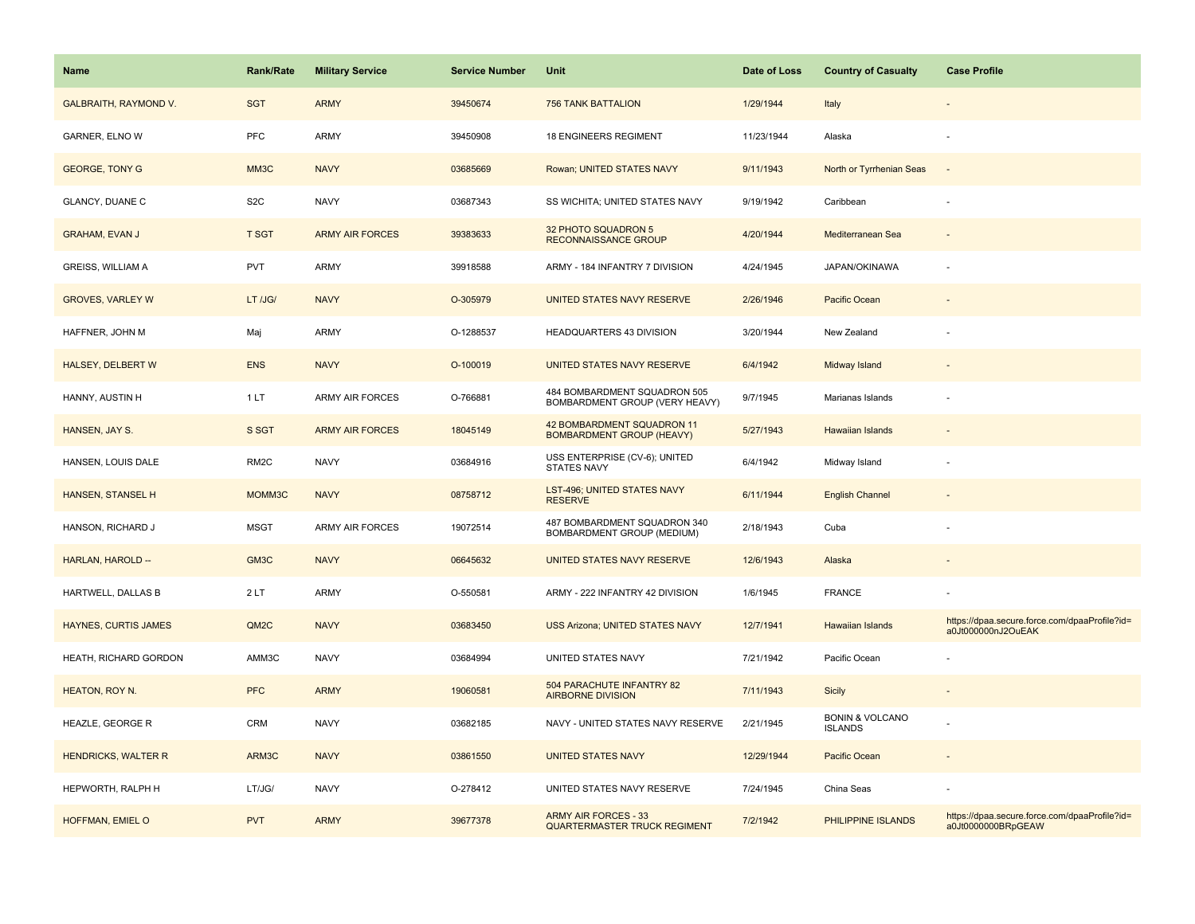| <b>Name</b>                  | <b>Rank/Rate</b>  | <b>Military Service</b> | <b>Service Number</b> | Unit                                                               | Date of Loss | <b>Country of Casualty</b>                   | <b>Case Profile</b>                                                 |
|------------------------------|-------------------|-------------------------|-----------------------|--------------------------------------------------------------------|--------------|----------------------------------------------|---------------------------------------------------------------------|
| <b>GALBRAITH, RAYMOND V.</b> | <b>SGT</b>        | <b>ARMY</b>             | 39450674              | <b>756 TANK BATTALION</b>                                          | 1/29/1944    | Italy                                        |                                                                     |
| GARNER, ELNO W               | PFC               | ARMY                    | 39450908              | <b>18 ENGINEERS REGIMENT</b>                                       | 11/23/1944   | Alaska                                       |                                                                     |
| <b>GEORGE, TONY G</b>        | MM3C              | <b>NAVY</b>             | 03685669              | Rowan; UNITED STATES NAVY                                          | 9/11/1943    | North or Tyrrhenian Seas                     |                                                                     |
| GLANCY, DUANE C              | S <sub>2</sub> C  | <b>NAVY</b>             | 03687343              | SS WICHITA; UNITED STATES NAVY                                     | 9/19/1942    | Caribbean                                    |                                                                     |
| <b>GRAHAM, EVAN J</b>        | <b>T SGT</b>      | <b>ARMY AIR FORCES</b>  | 39383633              | 32 PHOTO SQUADRON 5<br><b>RECONNAISSANCE GROUP</b>                 | 4/20/1944    | Mediterranean Sea                            |                                                                     |
| <b>GREISS, WILLIAM A</b>     | <b>PVT</b>        | ARMY                    | 39918588              | ARMY - 184 INFANTRY 7 DIVISION                                     | 4/24/1945    | JAPAN/OKINAWA                                |                                                                     |
| <b>GROVES, VARLEY W</b>      | LT /JG/           | <b>NAVY</b>             | O-305979              | UNITED STATES NAVY RESERVE                                         | 2/26/1946    | Pacific Ocean                                |                                                                     |
| HAFFNER, JOHN M              | Maj               | ARMY                    | O-1288537             | <b>HEADQUARTERS 43 DIVISION</b>                                    | 3/20/1944    | New Zealand                                  |                                                                     |
| <b>HALSEY, DELBERT W</b>     | <b>ENS</b>        | <b>NAVY</b>             | O-100019              | UNITED STATES NAVY RESERVE                                         | 6/4/1942     | Midway Island                                |                                                                     |
| HANNY, AUSTIN H              | 1LT               | <b>ARMY AIR FORCES</b>  | O-766881              | 484 BOMBARDMENT SQUADRON 505<br>BOMBARDMENT GROUP (VERY HEAVY)     | 9/7/1945     | Marianas Islands                             |                                                                     |
| HANSEN, JAY S.               | S SGT             | <b>ARMY AIR FORCES</b>  | 18045149              | 42 BOMBARDMENT SQUADRON 11<br><b>BOMBARDMENT GROUP (HEAVY)</b>     | 5/27/1943    | <b>Hawaiian Islands</b>                      |                                                                     |
| HANSEN, LOUIS DALE           | RM <sub>2</sub> C | <b>NAVY</b>             | 03684916              | USS ENTERPRISE (CV-6); UNITED<br>STATES NAVY                       | 6/4/1942     | Midway Island                                |                                                                     |
| <b>HANSEN, STANSEL H</b>     | MOMM3C            | <b>NAVY</b>             | 08758712              | LST-496; UNITED STATES NAVY<br><b>RESERVE</b>                      | 6/11/1944    | <b>English Channel</b>                       |                                                                     |
| HANSON, RICHARD J            | <b>MSGT</b>       | <b>ARMY AIR FORCES</b>  | 19072514              | 487 BOMBARDMENT SQUADRON 340<br>BOMBARDMENT GROUP (MEDIUM)         | 2/18/1943    | Cuba                                         |                                                                     |
| HARLAN, HAROLD --            | GM3C              | <b>NAVY</b>             | 06645632              | UNITED STATES NAVY RESERVE                                         | 12/6/1943    | Alaska                                       |                                                                     |
| HARTWELL, DALLAS B           | 2LT               | ARMY                    | O-550581              | ARMY - 222 INFANTRY 42 DIVISION                                    | 1/6/1945     | <b>FRANCE</b>                                |                                                                     |
| <b>HAYNES, CURTIS JAMES</b>  | QM2C              | <b>NAVY</b>             | 03683450              | <b>USS Arizona; UNITED STATES NAVY</b>                             | 12/7/1941    | <b>Hawaiian Islands</b>                      | https://dpaa.secure.force.com/dpaaProfile?id=<br>a0Jt000000nJ2OuEAK |
| HEATH, RICHARD GORDON        | AMM3C             | <b>NAVY</b>             | 03684994              | UNITED STATES NAVY                                                 | 7/21/1942    | Pacific Ocean                                |                                                                     |
| HEATON, ROY N.               | <b>PFC</b>        | <b>ARMY</b>             | 19060581              | 504 PARACHUTE INFANTRY 82<br><b>AIRBORNE DIVISION</b>              | 7/11/1943    | <b>Sicily</b>                                |                                                                     |
| HEAZLE, GEORGE R             | CRM               | <b>NAVY</b>             | 03682185              | NAVY - UNITED STATES NAVY RESERVE                                  | 2/21/1945    | <b>BONIN &amp; VOLCANO</b><br><b>ISLANDS</b> |                                                                     |
| <b>HENDRICKS, WALTER R</b>   | ARM3C             | <b>NAVY</b>             | 03861550              | <b>UNITED STATES NAVY</b>                                          | 12/29/1944   | Pacific Ocean                                |                                                                     |
| HEPWORTH, RALPH H            | LT/JG/            | <b>NAVY</b>             | O-278412              | UNITED STATES NAVY RESERVE                                         | 7/24/1945    | China Seas                                   |                                                                     |
| HOFFMAN, EMIEL O             | <b>PVT</b>        | <b>ARMY</b>             | 39677378              | <b>ARMY AIR FORCES - 33</b><br><b>QUARTERMASTER TRUCK REGIMENT</b> | 7/2/1942     | PHILIPPINE ISLANDS                           | https://dpaa.secure.force.com/dpaaProfile?id=<br>a0Jt0000000BRpGEAW |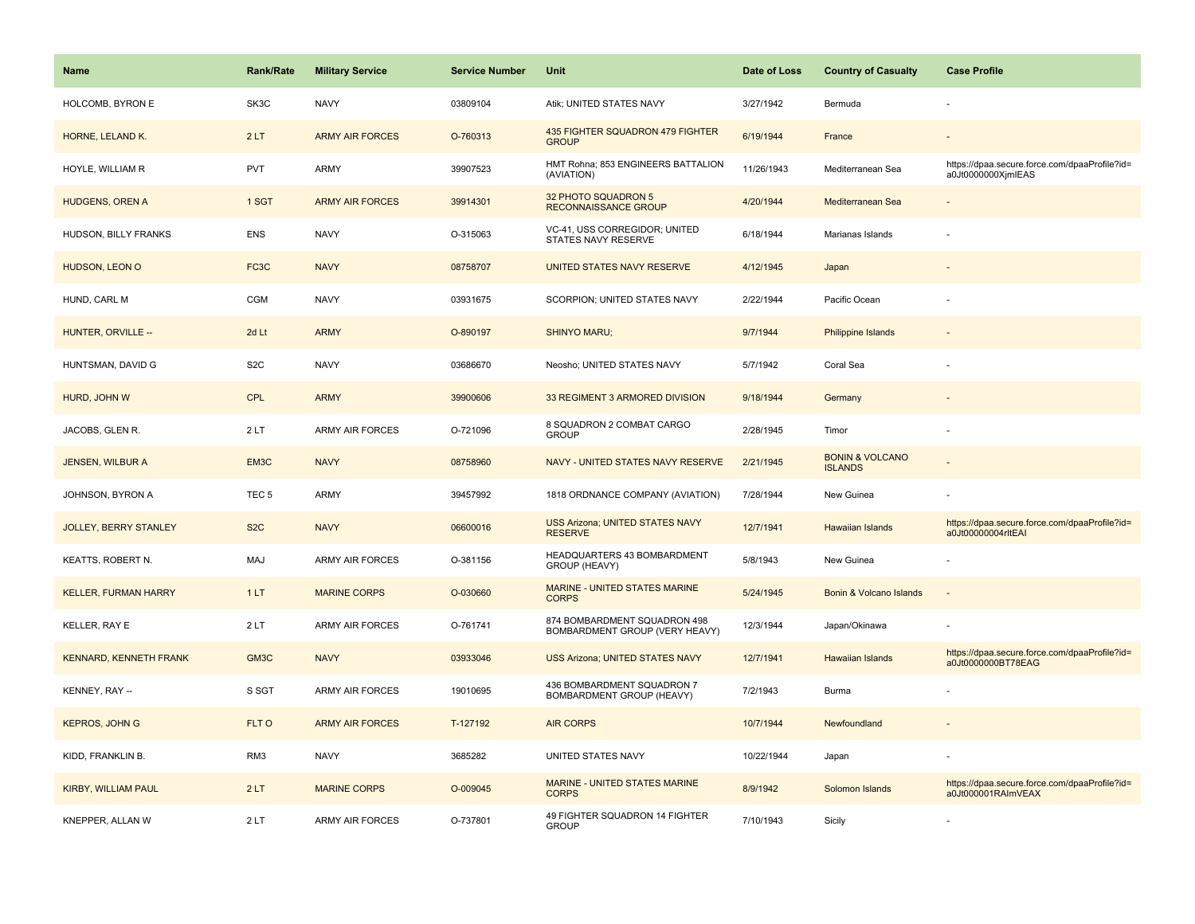| <b>Name</b>                  | <b>Rank/Rate</b>  | <b>Military Service</b> | <b>Service Number</b> | Unit                                                           | Date of Loss | <b>Country of Casualty</b>                   | <b>Case Profile</b>                                                 |
|------------------------------|-------------------|-------------------------|-----------------------|----------------------------------------------------------------|--------------|----------------------------------------------|---------------------------------------------------------------------|
| HOLCOMB, BYRON E             | SK3C              | <b>NAVY</b>             | 03809104              | Atik; UNITED STATES NAVY                                       | 3/27/1942    | Bermuda                                      |                                                                     |
| HORNE, LELAND K.             | 2LT               | <b>ARMY AIR FORCES</b>  | O-760313              | 435 FIGHTER SQUADRON 479 FIGHTER<br><b>GROUP</b>               | 6/19/1944    | France                                       |                                                                     |
| HOYLE, WILLIAM R             | <b>PVT</b>        | <b>ARMY</b>             | 39907523              | HMT Rohna; 853 ENGINEERS BATTALION<br>(AVIATION)               | 11/26/1943   | Mediterranean Sea                            | https://dpaa.secure.force.com/dpaaProfile?id=<br>a0Jt0000000XjmlEAS |
| <b>HUDGENS, OREN A</b>       | 1 SGT             | <b>ARMY AIR FORCES</b>  | 39914301              | 32 PHOTO SQUADRON 5<br><b>RECONNAISSANCE GROUP</b>             | 4/20/1944    | Mediterranean Sea                            |                                                                     |
| HUDSON, BILLY FRANKS         | <b>ENS</b>        | <b>NAVY</b>             | O-315063              | VC-41, USS CORREGIDOR; UNITED<br>STATES NAVY RESERVE           | 6/18/1944    | Marianas Islands                             |                                                                     |
| HUDSON, LEON O               | FC3C              | <b>NAVY</b>             | 08758707              | UNITED STATES NAVY RESERVE                                     | 4/12/1945    | Japan                                        |                                                                     |
| HUND, CARL M                 | <b>CGM</b>        | <b>NAVY</b>             | 03931675              | SCORPION; UNITED STATES NAVY                                   | 2/22/1944    | Pacific Ocean                                |                                                                     |
| HUNTER, ORVILLE --           | 2d Lt             | <b>ARMY</b>             | O-890197              | <b>SHINYO MARU;</b>                                            | 9/7/1944     | <b>Philippine Islands</b>                    |                                                                     |
| HUNTSMAN, DAVID G            | S <sub>2</sub> C  | <b>NAVY</b>             | 03686670              | Neosho; UNITED STATES NAVY                                     | 5/7/1942     | Coral Sea                                    |                                                                     |
| HURD, JOHN W                 | CPL               | <b>ARMY</b>             | 39900606              | 33 REGIMENT 3 ARMORED DIVISION                                 | 9/18/1944    | Germany                                      |                                                                     |
| JACOBS, GLEN R.              | 2LT               | <b>ARMY AIR FORCES</b>  | O-721096              | 8 SQUADRON 2 COMBAT CARGO<br><b>GROUP</b>                      | 2/28/1945    | Timor                                        |                                                                     |
| <b>JENSEN, WILBUR A</b>      | EM <sub>3</sub> C | <b>NAVY</b>             | 08758960              | NAVY - UNITED STATES NAVY RESERVE                              | 2/21/1945    | <b>BONIN &amp; VOLCANO</b><br><b>ISLANDS</b> |                                                                     |
| JOHNSON, BYRON A             | TEC <sub>5</sub>  | <b>ARMY</b>             | 39457992              | 1818 ORDNANCE COMPANY (AVIATION)                               | 7/28/1944    | New Guinea                                   |                                                                     |
| <b>JOLLEY, BERRY STANLEY</b> | S <sub>2</sub> C  | <b>NAVY</b>             | 06600016              | <b>USS Arizona; UNITED STATES NAVY</b><br><b>RESERVE</b>       | 12/7/1941    | <b>Hawaiian Islands</b>                      | https://dpaa.secure.force.com/dpaaProfile?id=<br>a0Jt00000004rltEAI |
| KEATTS, ROBERT N.            | MAJ               | <b>ARMY AIR FORCES</b>  | O-381156              | HEADQUARTERS 43 BOMBARDMENT<br>GROUP (HEAVY)                   | 5/8/1943     | New Guinea                                   |                                                                     |
| <b>KELLER, FURMAN HARRY</b>  | 1LT               | <b>MARINE CORPS</b>     | O-030660              | MARINE - UNITED STATES MARINE<br><b>CORPS</b>                  | 5/24/1945    | Bonin & Volcano Islands                      |                                                                     |
| KELLER, RAY E                | 2LT               | <b>ARMY AIR FORCES</b>  | O-761741              | 874 BOMBARDMENT SQUADRON 498<br>BOMBARDMENT GROUP (VERY HEAVY) | 12/3/1944    | Japan/Okinawa                                |                                                                     |
| KENNARD, KENNETH FRANK       | GM3C              | <b>NAVY</b>             | 03933046              | <b>USS Arizona; UNITED STATES NAVY</b>                         | 12/7/1941    | <b>Hawaiian Islands</b>                      | https://dpaa.secure.force.com/dpaaProfile?id=<br>a0Jt0000000BT78EAG |
| KENNEY, RAY --               | S SGT             | ARMY AIR FORCES         | 19010695              | 436 BOMBARDMENT SQUADRON 7<br>BOMBARDMENT GROUP (HEAVY)        | 7/2/1943     | Burma                                        |                                                                     |
| <b>KEPROS, JOHN G</b>        | FLT O             | <b>ARMY AIR FORCES</b>  | T-127192              | <b>AIR CORPS</b>                                               | 10/7/1944    | Newfoundland                                 |                                                                     |
| KIDD, FRANKLIN B.            | RM3               | <b>NAVY</b>             | 3685282               | UNITED STATES NAVY                                             | 10/22/1944   | Japan                                        |                                                                     |
| <b>KIRBY, WILLIAM PAUL</b>   | 2LT               | <b>MARINE CORPS</b>     | O-009045              | MARINE - UNITED STATES MARINE<br><b>CORPS</b>                  | 8/9/1942     | Solomon Islands                              | https://dpaa.secure.force.com/dpaaProfile?id=<br>a0Jt000001RAImVEAX |
| KNEPPER, ALLAN W             | 2LT               | <b>ARMY AIR FORCES</b>  | O-737801              | 49 FIGHTER SQUADRON 14 FIGHTER<br><b>GROUP</b>                 | 7/10/1943    | Sicily                                       |                                                                     |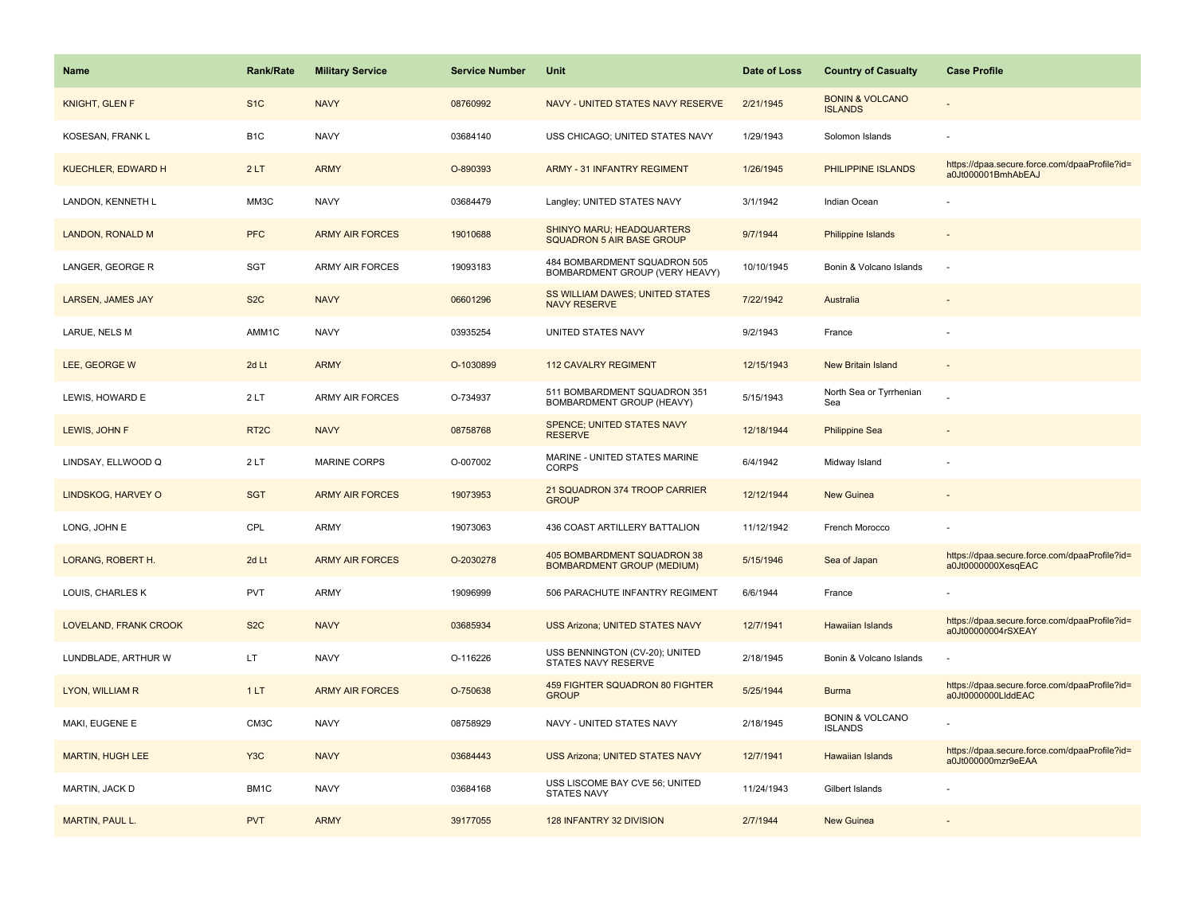| <b>Name</b>               | <b>Rank/Rate</b>  | <b>Military Service</b> | <b>Service Number</b> | Unit                                                             | Date of Loss | <b>Country of Casualty</b>                   | <b>Case Profile</b>                                                 |
|---------------------------|-------------------|-------------------------|-----------------------|------------------------------------------------------------------|--------------|----------------------------------------------|---------------------------------------------------------------------|
| <b>KNIGHT, GLEN F</b>     | S <sub>1</sub> C  | <b>NAVY</b>             | 08760992              | NAVY - UNITED STATES NAVY RESERVE                                | 2/21/1945    | <b>BONIN &amp; VOLCANO</b><br><b>ISLANDS</b> |                                                                     |
| KOSESAN, FRANK L          | B <sub>1</sub> C  | <b>NAVY</b>             | 03684140              | USS CHICAGO; UNITED STATES NAVY                                  | 1/29/1943    | Solomon Islands                              |                                                                     |
| <b>KUECHLER, EDWARD H</b> | 2LT               | <b>ARMY</b>             | O-890393              | <b>ARMY - 31 INFANTRY REGIMENT</b>                               | 1/26/1945    | PHILIPPINE ISLANDS                           | https://dpaa.secure.force.com/dpaaProfile?id=<br>a0Jt000001BmhAbEAJ |
| LANDON, KENNETH L         | MM3C              | <b>NAVY</b>             | 03684479              | Langley; UNITED STATES NAVY                                      | 3/1/1942     | Indian Ocean                                 |                                                                     |
| <b>LANDON, RONALD M</b>   | <b>PFC</b>        | <b>ARMY AIR FORCES</b>  | 19010688              | SHINYO MARU; HEADQUARTERS<br>SQUADRON 5 AIR BASE GROUP           | 9/7/1944     | <b>Philippine Islands</b>                    |                                                                     |
| LANGER, GEORGE R          | SGT               | <b>ARMY AIR FORCES</b>  | 19093183              | 484 BOMBARDMENT SQUADRON 505<br>BOMBARDMENT GROUP (VERY HEAVY)   | 10/10/1945   | Bonin & Volcano Islands                      |                                                                     |
| <b>LARSEN, JAMES JAY</b>  | S <sub>2</sub> C  | <b>NAVY</b>             | 06601296              | SS WILLIAM DAWES; UNITED STATES<br><b>NAVY RESERVE</b>           | 7/22/1942    | Australia                                    |                                                                     |
| LARUE, NELS M             | AMM1C             | <b>NAVY</b>             | 03935254              | UNITED STATES NAVY                                               | 9/2/1943     | France                                       |                                                                     |
| LEE, GEORGE W             | 2d Lt             | <b>ARMY</b>             | O-1030899             | <b>112 CAVALRY REGIMENT</b>                                      | 12/15/1943   | <b>New Britain Island</b>                    |                                                                     |
| LEWIS, HOWARD E           | 2LT               | <b>ARMY AIR FORCES</b>  | O-734937              | 511 BOMBARDMENT SQUADRON 351<br>BOMBARDMENT GROUP (HEAVY)        | 5/15/1943    | North Sea or Tyrrhenian<br>Sea               |                                                                     |
| LEWIS, JOHN F             | RT <sub>2</sub> C | <b>NAVY</b>             | 08758768              | SPENCE; UNITED STATES NAVY<br><b>RESERVE</b>                     | 12/18/1944   | <b>Philippine Sea</b>                        |                                                                     |
| LINDSAY, ELLWOOD Q        | 2LT               | <b>MARINE CORPS</b>     | O-007002              | MARINE - UNITED STATES MARINE<br><b>CORPS</b>                    | 6/4/1942     | Midway Island                                |                                                                     |
| LINDSKOG, HARVEY O        | <b>SGT</b>        | <b>ARMY AIR FORCES</b>  | 19073953              | 21 SQUADRON 374 TROOP CARRIER<br><b>GROUP</b>                    | 12/12/1944   | <b>New Guinea</b>                            |                                                                     |
| LONG, JOHN E              | CPL               | <b>ARMY</b>             | 19073063              | 436 COAST ARTILLERY BATTALION                                    | 11/12/1942   | French Morocco                               |                                                                     |
| LORANG, ROBERT H.         | 2d Lt             | <b>ARMY AIR FORCES</b>  | O-2030278             | 405 BOMBARDMENT SQUADRON 38<br><b>BOMBARDMENT GROUP (MEDIUM)</b> | 5/15/1946    | Sea of Japan                                 | https://dpaa.secure.force.com/dpaaProfile?id=<br>a0Jt0000000XesqEAC |
| LOUIS, CHARLES K          | PVT               | <b>ARMY</b>             | 19096999              | 506 PARACHUTE INFANTRY REGIMENT                                  | 6/6/1944     | France                                       |                                                                     |
| LOVELAND, FRANK CROOK     | S <sub>2</sub> C  | <b>NAVY</b>             | 03685934              | USS Arizona; UNITED STATES NAVY                                  | 12/7/1941    | <b>Hawaiian Islands</b>                      | https://dpaa.secure.force.com/dpaaProfile?id=<br>a0Jt00000004rSXEAY |
| LUNDBLADE, ARTHUR W       | LT.               | <b>NAVY</b>             | O-116226              | USS BENNINGTON (CV-20); UNITED<br>STATES NAVY RESERVE            | 2/18/1945    | Bonin & Volcano Islands                      |                                                                     |
| LYON, WILLIAM R           | 1LT               | <b>ARMY AIR FORCES</b>  | O-750638              | 459 FIGHTER SQUADRON 80 FIGHTER<br><b>GROUP</b>                  | 5/25/1944    | <b>Burma</b>                                 | https://dpaa.secure.force.com/dpaaProfile?id=<br>a0Jt0000000LlddEAC |
| MAKI, EUGENE E            | CM3C              | <b>NAVY</b>             | 08758929              | NAVY - UNITED STATES NAVY                                        | 2/18/1945    | <b>BONIN &amp; VOLCANO</b><br><b>ISLANDS</b> |                                                                     |
| <b>MARTIN, HUGH LEE</b>   | Y <sub>3</sub> C  | <b>NAVY</b>             | 03684443              | <b>USS Arizona; UNITED STATES NAVY</b>                           | 12/7/1941    | <b>Hawaiian Islands</b>                      | https://dpaa.secure.force.com/dpaaProfile?id=<br>a0Jt000000mzr9eEAA |
| MARTIN, JACK D            | BM1C              | <b>NAVY</b>             | 03684168              | USS LISCOME BAY CVE 56; UNITED<br><b>STATES NAVY</b>             | 11/24/1943   | Gilbert Islands                              |                                                                     |
| <b>MARTIN, PAUL L.</b>    | <b>PVT</b>        | <b>ARMY</b>             | 39177055              | 128 INFANTRY 32 DIVISION                                         | 2/7/1944     | <b>New Guinea</b>                            |                                                                     |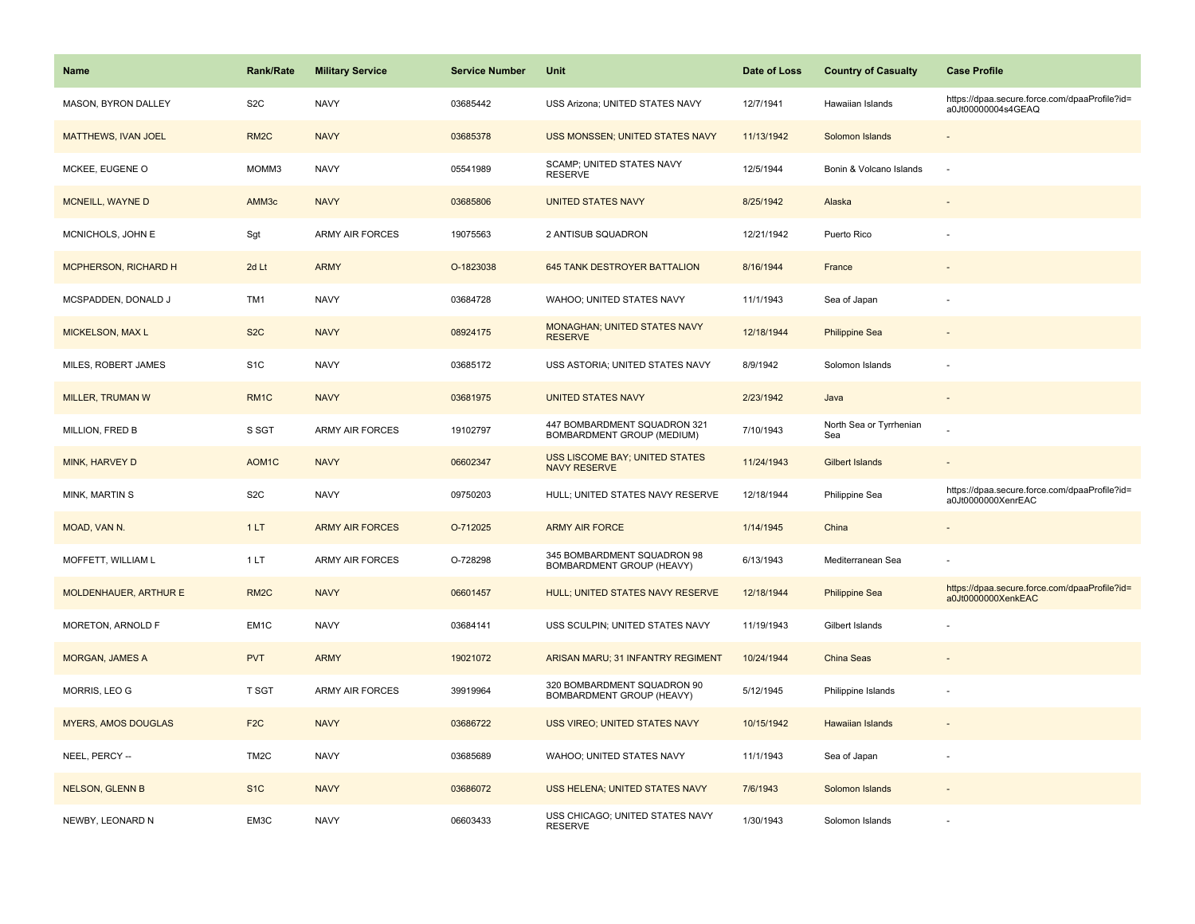| <b>Name</b>                 | <b>Rank/Rate</b>   | <b>Military Service</b> | <b>Service Number</b> | Unit                                                         | Date of Loss | <b>Country of Casualty</b>     | <b>Case Profile</b>                                                 |
|-----------------------------|--------------------|-------------------------|-----------------------|--------------------------------------------------------------|--------------|--------------------------------|---------------------------------------------------------------------|
| MASON, BYRON DALLEY         | S <sub>2</sub> C   | <b>NAVY</b>             | 03685442              | USS Arizona; UNITED STATES NAVY                              | 12/7/1941    | Hawaiian Islands               | https://dpaa.secure.force.com/dpaaProfile?id=<br>a0Jt00000004s4GEAQ |
| <b>MATTHEWS, IVAN JOEL</b>  | RM <sub>2</sub> C  | <b>NAVY</b>             | 03685378              | USS MONSSEN; UNITED STATES NAVY                              | 11/13/1942   | Solomon Islands                |                                                                     |
| MCKEE, EUGENE O             | MOMM3              | <b>NAVY</b>             | 05541989              | <b>SCAMP; UNITED STATES NAVY</b><br><b>RESERVE</b>           | 12/5/1944    | Bonin & Volcano Islands        | ÷.                                                                  |
| MCNEILL, WAYNE D            | AMM3c              | <b>NAVY</b>             | 03685806              | <b>UNITED STATES NAVY</b>                                    | 8/25/1942    | Alaska                         |                                                                     |
| MCNICHOLS, JOHN E           | Sgt                | <b>ARMY AIR FORCES</b>  | 19075563              | 2 ANTISUB SQUADRON                                           | 12/21/1942   | Puerto Rico                    |                                                                     |
| <b>MCPHERSON, RICHARD H</b> | 2d Lt              | <b>ARMY</b>             | O-1823038             | 645 TANK DESTROYER BATTALION                                 | 8/16/1944    | France                         |                                                                     |
| MCSPADDEN, DONALD J         | TM1                | <b>NAVY</b>             | 03684728              | WAHOO; UNITED STATES NAVY                                    | 11/1/1943    | Sea of Japan                   |                                                                     |
| MICKELSON, MAX L            | S <sub>2</sub> C   | <b>NAVY</b>             | 08924175              | MONAGHAN; UNITED STATES NAVY<br><b>RESERVE</b>               | 12/18/1944   | <b>Philippine Sea</b>          |                                                                     |
| MILES, ROBERT JAMES         | S <sub>1</sub> C   | <b>NAVY</b>             | 03685172              | USS ASTORIA; UNITED STATES NAVY                              | 8/9/1942     | Solomon Islands                |                                                                     |
| <b>MILLER, TRUMAN W</b>     | RM <sub>1</sub> C  | <b>NAVY</b>             | 03681975              | <b>UNITED STATES NAVY</b>                                    | 2/23/1942    | Java                           |                                                                     |
| MILLION, FRED B             | S SGT              | <b>ARMY AIR FORCES</b>  | 19102797              | 447 BOMBARDMENT SQUADRON 321<br>BOMBARDMENT GROUP (MEDIUM)   | 7/10/1943    | North Sea or Tyrrhenian<br>Sea |                                                                     |
| MINK, HARVEY D              | AOM <sub>1</sub> C | <b>NAVY</b>             | 06602347              | <b>USS LISCOME BAY: UNITED STATES</b><br><b>NAVY RESERVE</b> | 11/24/1943   | <b>Gilbert Islands</b>         |                                                                     |
| MINK, MARTIN S              | S <sub>2</sub> C   | <b>NAVY</b>             | 09750203              | HULL; UNITED STATES NAVY RESERVE                             | 12/18/1944   | Philippine Sea                 | https://dpaa.secure.force.com/dpaaProfile?id=<br>a0Jt0000000XenrEAC |
| MOAD, VAN N.                | 1LT                | <b>ARMY AIR FORCES</b>  | O-712025              | <b>ARMY AIR FORCE</b>                                        | 1/14/1945    | China                          |                                                                     |
| MOFFETT, WILLIAM L          | 1LT                | <b>ARMY AIR FORCES</b>  | O-728298              | 345 BOMBARDMENT SQUADRON 98<br>BOMBARDMENT GROUP (HEAVY)     | 6/13/1943    | Mediterranean Sea              |                                                                     |
| MOLDENHAUER, ARTHUR E       | RM <sub>2</sub> C  | <b>NAVY</b>             | 06601457              | HULL; UNITED STATES NAVY RESERVE                             | 12/18/1944   | <b>Philippine Sea</b>          | https://dpaa.secure.force.com/dpaaProfile?id=<br>a0Jt0000000XenkEAC |
| MORETON, ARNOLD F           | EM1C               | <b>NAVY</b>             | 03684141              | USS SCULPIN; UNITED STATES NAVY                              | 11/19/1943   | Gilbert Islands                |                                                                     |
| <b>MORGAN, JAMES A</b>      | <b>PVT</b>         | <b>ARMY</b>             | 19021072              | ARISAN MARU; 31 INFANTRY REGIMENT                            | 10/24/1944   | China Seas                     |                                                                     |
| MORRIS, LEO G               | T SGT              | ARMY AIR FORCES         | 39919964              | 320 BOMBARDMENT SQUADRON 90<br>BOMBARDMENT GROUP (HEAVY)     | 5/12/1945    | Philippine Islands             |                                                                     |
| <b>MYERS, AMOS DOUGLAS</b>  | F <sub>2</sub> C   | <b>NAVY</b>             | 03686722              | USS VIREO; UNITED STATES NAVY                                | 10/15/1942   | <b>Hawaiian Islands</b>        |                                                                     |
| NEEL, PERCY --              | TM <sub>2</sub> C  | <b>NAVY</b>             | 03685689              | WAHOO; UNITED STATES NAVY                                    | 11/1/1943    | Sea of Japan                   |                                                                     |
| <b>NELSON, GLENN B</b>      | S <sub>1</sub> C   | <b>NAVY</b>             | 03686072              | USS HELENA; UNITED STATES NAVY                               | 7/6/1943     | Solomon Islands                |                                                                     |
| NEWBY, LEONARD N            | EM3C               | <b>NAVY</b>             | 06603433              | USS CHICAGO; UNITED STATES NAVY<br><b>RESERVE</b>            | 1/30/1943    | Solomon Islands                |                                                                     |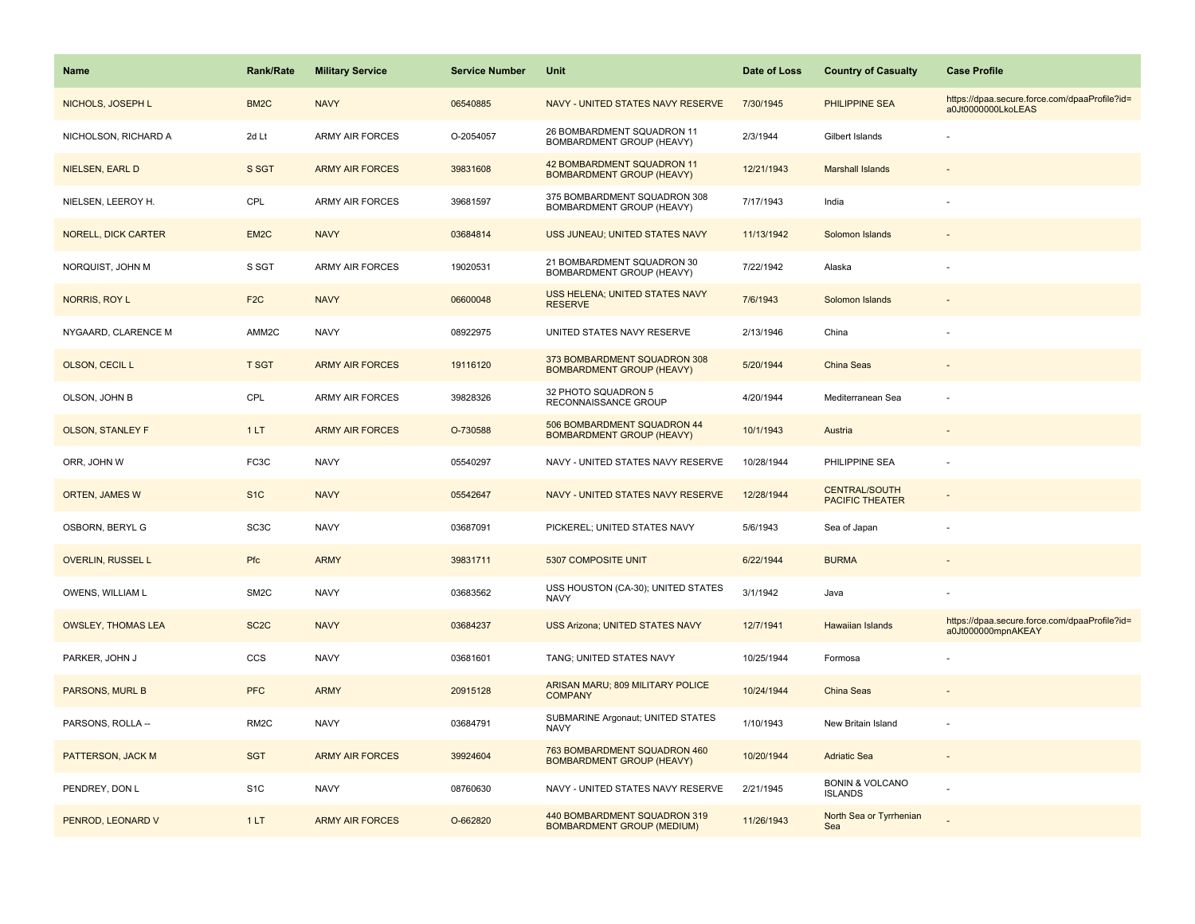| <b>Name</b>                | <b>Rank/Rate</b>  | <b>Military Service</b> | <b>Service Number</b> | Unit                                                              | Date of Loss | <b>Country of Casualty</b>                     | <b>Case Profile</b>                                                 |
|----------------------------|-------------------|-------------------------|-----------------------|-------------------------------------------------------------------|--------------|------------------------------------------------|---------------------------------------------------------------------|
| NICHOLS, JOSEPH L          | BM <sub>2</sub> C | <b>NAVY</b>             | 06540885              | NAVY - UNITED STATES NAVY RESERVE                                 | 7/30/1945    | PHILIPPINE SEA                                 | https://dpaa.secure.force.com/dpaaProfile?id=<br>a0Jt0000000LkoLEAS |
| NICHOLSON, RICHARD A       | 2d Lt             | <b>ARMY AIR FORCES</b>  | O-2054057             | 26 BOMBARDMENT SQUADRON 11<br>BOMBARDMENT GROUP (HEAVY)           | 2/3/1944     | Gilbert Islands                                |                                                                     |
| NIELSEN, EARL D            | S SGT             | <b>ARMY AIR FORCES</b>  | 39831608              | 42 BOMBARDMENT SQUADRON 11<br><b>BOMBARDMENT GROUP (HEAVY)</b>    | 12/21/1943   | <b>Marshall Islands</b>                        |                                                                     |
| NIELSEN, LEEROY H.         | CPL               | <b>ARMY AIR FORCES</b>  | 39681597              | 375 BOMBARDMENT SQUADRON 308<br>BOMBARDMENT GROUP (HEAVY)         | 7/17/1943    | India                                          |                                                                     |
| <b>NORELL, DICK CARTER</b> | EM <sub>2</sub> C | <b>NAVY</b>             | 03684814              | USS JUNEAU; UNITED STATES NAVY                                    | 11/13/1942   | Solomon Islands                                |                                                                     |
| NORQUIST, JOHN M           | S SGT             | <b>ARMY AIR FORCES</b>  | 19020531              | 21 BOMBARDMENT SQUADRON 30<br>BOMBARDMENT GROUP (HEAVY)           | 7/22/1942    | Alaska                                         |                                                                     |
| NORRIS, ROY L              | F <sub>2</sub> C  | <b>NAVY</b>             | 06600048              | USS HELENA; UNITED STATES NAVY<br><b>RESERVE</b>                  | 7/6/1943     | Solomon Islands                                |                                                                     |
| NYGAARD, CLARENCE M        | AMM2C             | <b>NAVY</b>             | 08922975              | UNITED STATES NAVY RESERVE                                        | 2/13/1946    | China                                          |                                                                     |
| OLSON, CECIL L             | <b>T SGT</b>      | <b>ARMY AIR FORCES</b>  | 19116120              | 373 BOMBARDMENT SQUADRON 308<br><b>BOMBARDMENT GROUP (HEAVY)</b>  | 5/20/1944    | China Seas                                     |                                                                     |
| OLSON, JOHN B              | CPL               | ARMY AIR FORCES         | 39828326              | 32 PHOTO SQUADRON 5<br>RECONNAISSANCE GROUP                       | 4/20/1944    | Mediterranean Sea                              |                                                                     |
| <b>OLSON, STANLEY F</b>    | 1LT               | <b>ARMY AIR FORCES</b>  | O-730588              | 506 BOMBARDMENT SQUADRON 44<br><b>BOMBARDMENT GROUP (HEAVY)</b>   | 10/1/1943    | Austria                                        |                                                                     |
| ORR, JOHN W                | FC3C              | <b>NAVY</b>             | 05540297              | NAVY - UNITED STATES NAVY RESERVE                                 | 10/28/1944   | PHILIPPINE SEA                                 |                                                                     |
| <b>ORTEN, JAMES W</b>      | S <sub>1C</sub>   | <b>NAVY</b>             | 05542647              | NAVY - UNITED STATES NAVY RESERVE                                 | 12/28/1944   | <b>CENTRAL/SOUTH</b><br><b>PACIFIC THEATER</b> |                                                                     |
| OSBORN, BERYL G            | SC <sub>3</sub> C | <b>NAVY</b>             | 03687091              | PICKEREL; UNITED STATES NAVY                                      | 5/6/1943     | Sea of Japan                                   |                                                                     |
| <b>OVERLIN, RUSSEL L</b>   | Pfc               | <b>ARMY</b>             | 39831711              | 5307 COMPOSITE UNIT                                               | 6/22/1944    | <b>BURMA</b>                                   |                                                                     |
| OWENS, WILLIAM L           | SM <sub>2</sub> C | <b>NAVY</b>             | 03683562              | USS HOUSTON (CA-30); UNITED STATES<br><b>NAVY</b>                 | 3/1/1942     | Java                                           |                                                                     |
| <b>OWSLEY, THOMAS LEA</b>  | SC <sub>2</sub> C | <b>NAVY</b>             | 03684237              | <b>USS Arizona; UNITED STATES NAVY</b>                            | 12/7/1941    | <b>Hawaiian Islands</b>                        | https://dpaa.secure.force.com/dpaaProfile?id=<br>a0Jt000000mpnAKEAY |
| PARKER, JOHN J             | CCS               | <b>NAVY</b>             | 03681601              | TANG; UNITED STATES NAVY                                          | 10/25/1944   | Formosa                                        |                                                                     |
| PARSONS, MURL B            | <b>PFC</b>        | <b>ARMY</b>             | 20915128              | ARISAN MARU; 809 MILITARY POLICE<br><b>COMPANY</b>                | 10/24/1944   | <b>China Seas</b>                              |                                                                     |
| PARSONS, ROLLA --          | RM <sub>2</sub> C | <b>NAVY</b>             | 03684791              | SUBMARINE Argonaut; UNITED STATES<br><b>NAVY</b>                  | 1/10/1943    | New Britain Island                             |                                                                     |
| PATTERSON, JACK M          | <b>SGT</b>        | <b>ARMY AIR FORCES</b>  | 39924604              | 763 BOMBARDMENT SQUADRON 460<br><b>BOMBARDMENT GROUP (HEAVY)</b>  | 10/20/1944   | <b>Adriatic Sea</b>                            |                                                                     |
| PENDREY, DON L             | S <sub>1</sub> C  | <b>NAVY</b>             | 08760630              | NAVY - UNITED STATES NAVY RESERVE                                 | 2/21/1945    | <b>BONIN &amp; VOLCANO</b><br><b>ISLANDS</b>   |                                                                     |
| PENROD, LEONARD V          | 1LT               | <b>ARMY AIR FORCES</b>  | O-662820              | 440 BOMBARDMENT SQUADRON 319<br><b>BOMBARDMENT GROUP (MEDIUM)</b> | 11/26/1943   | North Sea or Tyrrhenian<br>Sea                 |                                                                     |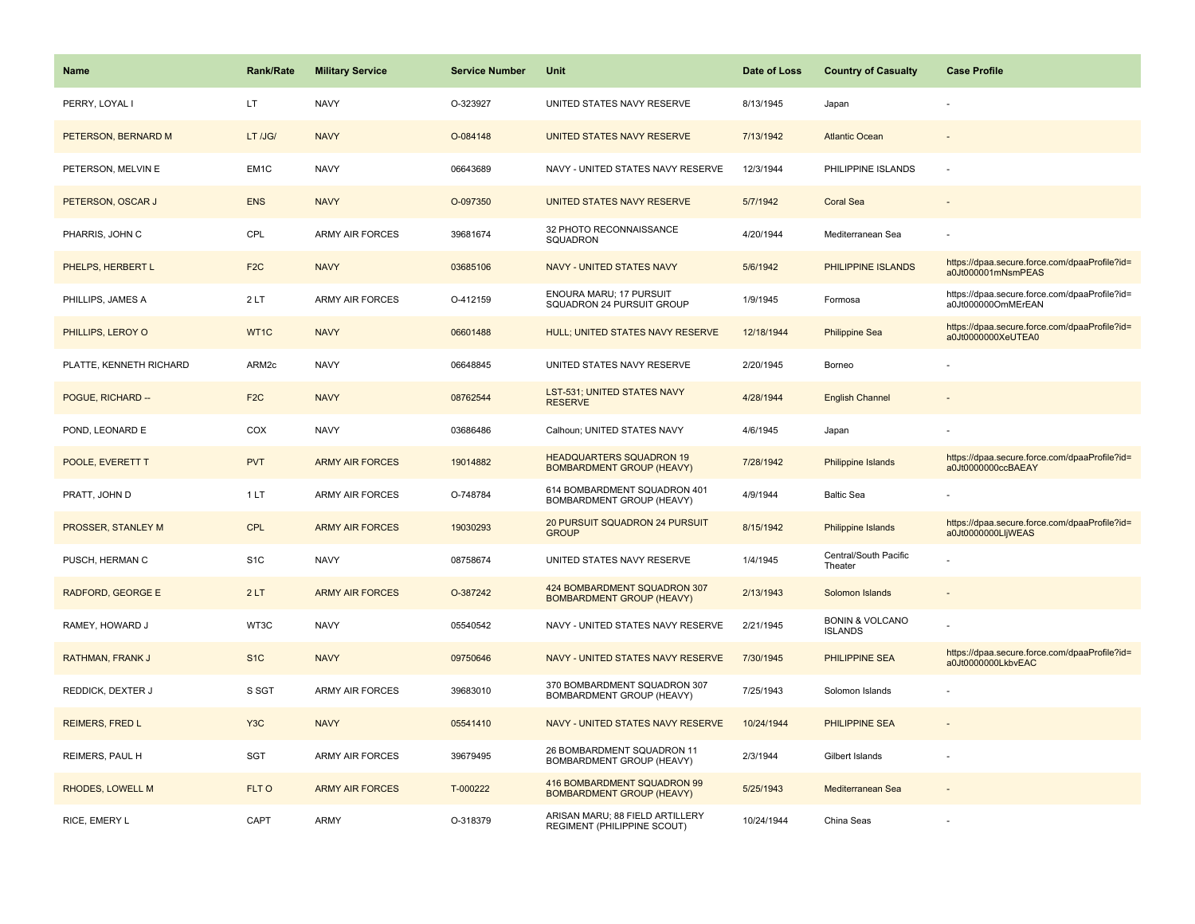| Name                     | <b>Rank/Rate</b>  | <b>Military Service</b> | <b>Service Number</b> | Unit                                                                | Date of Loss | <b>Country of Casualty</b>                   | <b>Case Profile</b>                                                 |
|--------------------------|-------------------|-------------------------|-----------------------|---------------------------------------------------------------------|--------------|----------------------------------------------|---------------------------------------------------------------------|
| PERRY, LOYAL I           | LT.               | <b>NAVY</b>             | O-323927              | UNITED STATES NAVY RESERVE                                          | 8/13/1945    | Japan                                        |                                                                     |
| PETERSON, BERNARD M      | LT /JG/           | <b>NAVY</b>             | O-084148              | UNITED STATES NAVY RESERVE                                          | 7/13/1942    | <b>Atlantic Ocean</b>                        |                                                                     |
| PETERSON, MELVIN E       | EM <sub>1</sub> C | <b>NAVY</b>             | 06643689              | NAVY - UNITED STATES NAVY RESERVE                                   | 12/3/1944    | PHILIPPINE ISLANDS                           |                                                                     |
| PETERSON, OSCAR J        | <b>ENS</b>        | <b>NAVY</b>             | O-097350              | UNITED STATES NAVY RESERVE                                          | 5/7/1942     | <b>Coral Sea</b>                             |                                                                     |
| PHARRIS, JOHN C          | CPL               | <b>ARMY AIR FORCES</b>  | 39681674              | 32 PHOTO RECONNAISSANCE<br>SQUADRON                                 | 4/20/1944    | Mediterranean Sea                            |                                                                     |
| PHELPS, HERBERT L        | F <sub>2</sub> C  | <b>NAVY</b>             | 03685106              | NAVY - UNITED STATES NAVY                                           | 5/6/1942     | PHILIPPINE ISLANDS                           | https://dpaa.secure.force.com/dpaaProfile?id=<br>a0Jt000001mNsmPEAS |
| PHILLIPS, JAMES A        | 2LT               | ARMY AIR FORCES         | O-412159              | ENOURA MARU; 17 PURSUIT<br>SQUADRON 24 PURSUIT GROUP                | 1/9/1945     | Formosa                                      | https://dpaa.secure.force.com/dpaaProfile?id=<br>a0Jt000000OmMErEAN |
| PHILLIPS, LEROY O        | WT1C              | <b>NAVY</b>             | 06601488              | HULL; UNITED STATES NAVY RESERVE                                    | 12/18/1944   | <b>Philippine Sea</b>                        | https://dpaa.secure.force.com/dpaaProfile?id=<br>a0Jt0000000XeUTEA0 |
| PLATTE, KENNETH RICHARD  | ARM2c             | <b>NAVY</b>             | 06648845              | UNITED STATES NAVY RESERVE                                          | 2/20/1945    | Borneo                                       |                                                                     |
| POGUE, RICHARD --        | F <sub>2C</sub>   | <b>NAVY</b>             | 08762544              | <b>LST-531; UNITED STATES NAVY</b><br><b>RESERVE</b>                | 4/28/1944    | <b>English Channel</b>                       |                                                                     |
| POND, LEONARD E          | COX               | <b>NAVY</b>             | 03686486              | Calhoun; UNITED STATES NAVY                                         | 4/6/1945     | Japan                                        |                                                                     |
| POOLE, EVERETT T         | <b>PVT</b>        | <b>ARMY AIR FORCES</b>  | 19014882              | <b>HEADQUARTERS SQUADRON 19</b><br><b>BOMBARDMENT GROUP (HEAVY)</b> | 7/28/1942    | Philippine Islands                           | https://dpaa.secure.force.com/dpaaProfile?id=<br>a0Jt0000000ccBAEAY |
| PRATT, JOHN D            | 1LT               | <b>ARMY AIR FORCES</b>  | O-748784              | 614 BOMBARDMENT SQUADRON 401<br>BOMBARDMENT GROUP (HEAVY)           | 4/9/1944     | <b>Baltic Sea</b>                            |                                                                     |
| PROSSER, STANLEY M       | <b>CPL</b>        | <b>ARMY AIR FORCES</b>  | 19030293              | 20 PURSUIT SQUADRON 24 PURSUIT<br><b>GROUP</b>                      | 8/15/1942    | Philippine Islands                           | https://dpaa.secure.force.com/dpaaProfile?id=<br>a0Jt0000000LljWEAS |
| PUSCH, HERMAN C          | S <sub>1</sub> C  | <b>NAVY</b>             | 08758674              | UNITED STATES NAVY RESERVE                                          | 1/4/1945     | Central/South Pacific<br>Theater             |                                                                     |
| <b>RADFORD, GEORGE E</b> | 2LT               | <b>ARMY AIR FORCES</b>  | O-387242              | 424 BOMBARDMENT SQUADRON 307<br><b>BOMBARDMENT GROUP (HEAVY)</b>    | 2/13/1943    | Solomon Islands                              |                                                                     |
| RAMEY, HOWARD J          | WT3C              | <b>NAVY</b>             | 05540542              | NAVY - UNITED STATES NAVY RESERVE                                   | 2/21/1945    | <b>BONIN &amp; VOLCANO</b><br><b>ISLANDS</b> |                                                                     |
| RATHMAN, FRANK J         | S <sub>1</sub> C  | <b>NAVY</b>             | 09750646              | NAVY - UNITED STATES NAVY RESERVE                                   | 7/30/1945    | PHILIPPINE SEA                               | https://dpaa.secure.force.com/dpaaProfile?id=<br>a0Jt0000000LkbvEAC |
| REDDICK, DEXTER J        | S SGT             | <b>ARMY AIR FORCES</b>  | 39683010              | 370 BOMBARDMENT SQUADRON 307<br>BOMBARDMENT GROUP (HEAVY)           | 7/25/1943    | Solomon Islands                              |                                                                     |
| <b>REIMERS, FRED L</b>   | Y <sub>3</sub> C  | <b>NAVY</b>             | 05541410              | NAVY - UNITED STATES NAVY RESERVE                                   | 10/24/1944   | <b>PHILIPPINE SEA</b>                        |                                                                     |
| REIMERS, PAUL H          | SGT               | ARMY AIR FORCES         | 39679495              | 26 BOMBARDMENT SQUADRON 11<br>BOMBARDMENT GROUP (HEAVY)             | 2/3/1944     | Gilbert Islands                              |                                                                     |
| RHODES, LOWELL M         | FLT O             | <b>ARMY AIR FORCES</b>  | T-000222              | 416 BOMBARDMENT SQUADRON 99<br><b>BOMBARDMENT GROUP (HEAVY)</b>     | 5/25/1943    | Mediterranean Sea                            |                                                                     |
| RICE, EMERY L            | CAPT              | ARMY                    | O-318379              | ARISAN MARU; 88 FIELD ARTILLERY<br>REGIMENT (PHILIPPINE SCOUT)      | 10/24/1944   | China Seas                                   |                                                                     |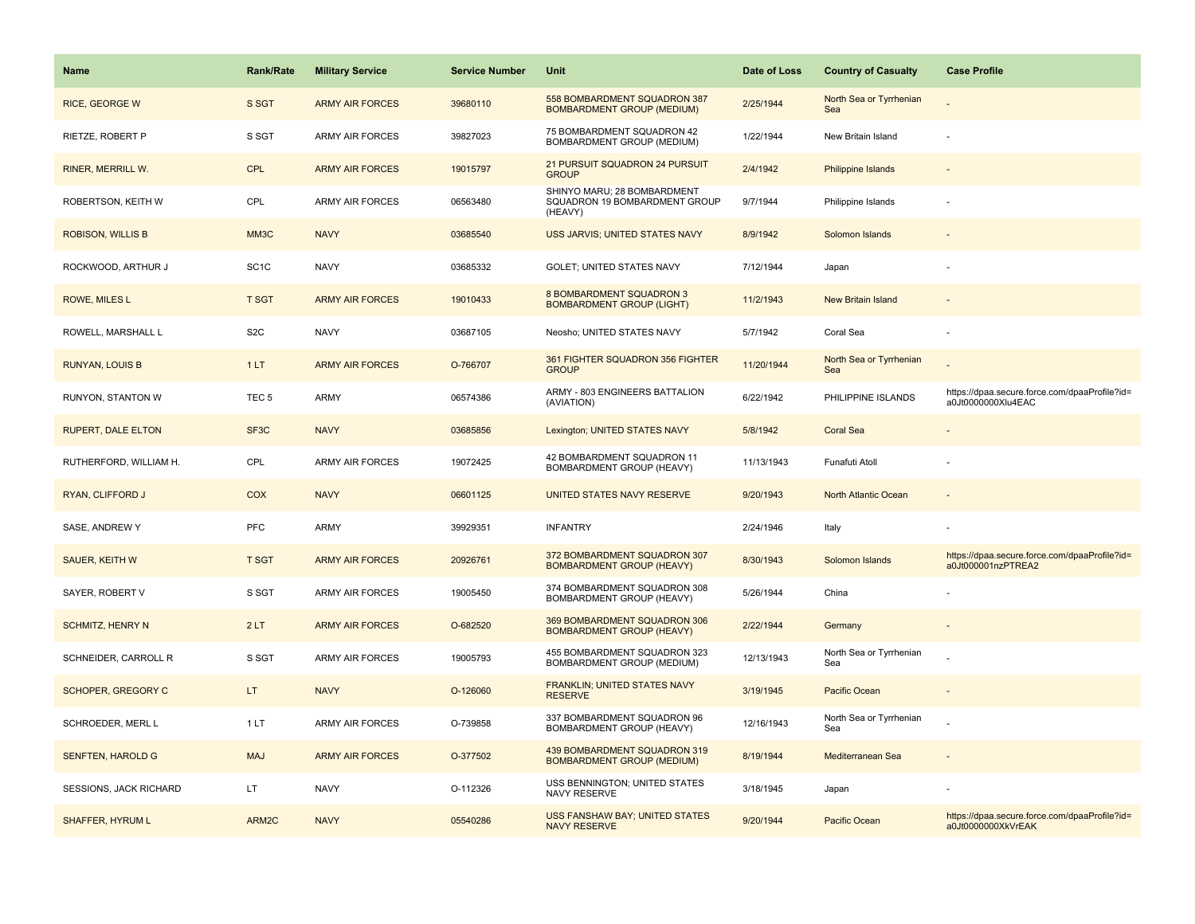| <b>Name</b>               | <b>Rank/Rate</b>  | <b>Military Service</b> | <b>Service Number</b> | Unit                                                                    | Date of Loss | <b>Country of Casualty</b>     | <b>Case Profile</b>                                                 |
|---------------------------|-------------------|-------------------------|-----------------------|-------------------------------------------------------------------------|--------------|--------------------------------|---------------------------------------------------------------------|
| RICE, GEORGE W            | S SGT             | <b>ARMY AIR FORCES</b>  | 39680110              | 558 BOMBARDMENT SQUADRON 387<br><b>BOMBARDMENT GROUP (MEDIUM)</b>       | 2/25/1944    | North Sea or Tyrrhenian<br>Sea |                                                                     |
| RIETZE, ROBERT P          | S SGT             | <b>ARMY AIR FORCES</b>  | 39827023              | 75 BOMBARDMENT SQUADRON 42<br>BOMBARDMENT GROUP (MEDIUM)                | 1/22/1944    | New Britain Island             |                                                                     |
| <b>RINER, MERRILL W.</b>  | CPL               | <b>ARMY AIR FORCES</b>  | 19015797              | 21 PURSUIT SQUADRON 24 PURSUIT<br><b>GROUP</b>                          | 2/4/1942     | <b>Philippine Islands</b>      |                                                                     |
| ROBERTSON, KEITH W        | CPL               | <b>ARMY AIR FORCES</b>  | 06563480              | SHINYO MARU; 28 BOMBARDMENT<br>SQUADRON 19 BOMBARDMENT GROUP<br>(HEAVY) | 9/7/1944     | Philippine Islands             |                                                                     |
| <b>ROBISON, WILLIS B</b>  | MM3C              | <b>NAVY</b>             | 03685540              | USS JARVIS; UNITED STATES NAVY                                          | 8/9/1942     | Solomon Islands                |                                                                     |
| ROCKWOOD, ARTHUR J        | SC <sub>1</sub> C | <b>NAVY</b>             | 03685332              | <b>GOLET: UNITED STATES NAVY</b>                                        | 7/12/1944    | Japan                          |                                                                     |
| ROWE, MILES L             | <b>T SGT</b>      | <b>ARMY AIR FORCES</b>  | 19010433              | <b>8 BOMBARDMENT SQUADRON 3</b><br><b>BOMBARDMENT GROUP (LIGHT)</b>     | 11/2/1943    | New Britain Island             |                                                                     |
| ROWELL, MARSHALL L        | S <sub>2</sub> C  | <b>NAVY</b>             | 03687105              | Neosho; UNITED STATES NAVY                                              | 5/7/1942     | Coral Sea                      |                                                                     |
| <b>RUNYAN, LOUIS B</b>    | 1LT               | <b>ARMY AIR FORCES</b>  | O-766707              | 361 FIGHTER SQUADRON 356 FIGHTER<br><b>GROUP</b>                        | 11/20/1944   | North Sea or Tyrrhenian<br>Sea |                                                                     |
| RUNYON, STANTON W         | TEC <sub>5</sub>  | <b>ARMY</b>             | 06574386              | ARMY - 803 ENGINEERS BATTALION<br>(AVIATION)                            | 6/22/1942    | PHILIPPINE ISLANDS             | https://dpaa.secure.force.com/dpaaProfile?id=<br>a0Jt0000000Xlu4EAC |
| <b>RUPERT, DALE ELTON</b> | SF <sub>3</sub> C | <b>NAVY</b>             | 03685856              | Lexington; UNITED STATES NAVY                                           | 5/8/1942     | <b>Coral Sea</b>               |                                                                     |
| RUTHERFORD, WILLIAM H.    | CPL               | <b>ARMY AIR FORCES</b>  | 19072425              | 42 BOMBARDMENT SQUADRON 11<br>BOMBARDMENT GROUP (HEAVY)                 | 11/13/1943   | Funafuti Atoll                 |                                                                     |
| RYAN, CLIFFORD J          | COX               | <b>NAVY</b>             | 06601125              | UNITED STATES NAVY RESERVE                                              | 9/20/1943    | North Atlantic Ocean           |                                                                     |
| SASE, ANDREW Y            | PFC               | <b>ARMY</b>             | 39929351              | <b>INFANTRY</b>                                                         | 2/24/1946    | Italy                          |                                                                     |
| <b>SAUER, KEITH W</b>     | <b>T SGT</b>      | <b>ARMY AIR FORCES</b>  | 20926761              | 372 BOMBARDMENT SQUADRON 307<br><b>BOMBARDMENT GROUP (HEAVY)</b>        | 8/30/1943    | Solomon Islands                | https://dpaa.secure.force.com/dpaaProfile?id=<br>a0Jt000001nzPTREA2 |
| SAYER, ROBERT V           | S SGT             | ARMY AIR FORCES         | 19005450              | 374 BOMBARDMENT SQUADRON 308<br>BOMBARDMENT GROUP (HEAVY)               | 5/26/1944    | China                          |                                                                     |
| <b>SCHMITZ, HENRY N</b>   | 2LT               | <b>ARMY AIR FORCES</b>  | O-682520              | 369 BOMBARDMENT SQUADRON 306<br><b>BOMBARDMENT GROUP (HEAVY)</b>        | 2/22/1944    | Germany                        |                                                                     |
| SCHNEIDER, CARROLL R      | S SGT             | <b>ARMY AIR FORCES</b>  | 19005793              | 455 BOMBARDMENT SQUADRON 323<br>BOMBARDMENT GROUP (MEDIUM)              | 12/13/1943   | North Sea or Tyrrhenian<br>Sea |                                                                     |
| <b>SCHOPER, GREGORY C</b> | LT.               | <b>NAVY</b>             | O-126060              | FRANKLIN; UNITED STATES NAVY<br><b>RESERVE</b>                          | 3/19/1945    | Pacific Ocean                  |                                                                     |
| SCHROEDER, MERL L         | 1LT               | <b>ARMY AIR FORCES</b>  | O-739858              | 337 BOMBARDMENT SQUADRON 96<br>BOMBARDMENT GROUP (HEAVY)                | 12/16/1943   | North Sea or Tyrrhenian<br>Sea |                                                                     |
| <b>SENFTEN, HAROLD G</b>  | <b>MAJ</b>        | <b>ARMY AIR FORCES</b>  | O-377502              | 439 BOMBARDMENT SQUADRON 319<br><b>BOMBARDMENT GROUP (MEDIUM)</b>       | 8/19/1944    | Mediterranean Sea              |                                                                     |
| SESSIONS, JACK RICHARD    | LT.               | <b>NAVY</b>             | O-112326              | USS BENNINGTON; UNITED STATES<br>NAVY RESERVE                           | 3/18/1945    | Japan                          |                                                                     |
| <b>SHAFFER, HYRUM L</b>   | ARM2C             | <b>NAVY</b>             | 05540286              | <b>USS FANSHAW BAY; UNITED STATES</b><br><b>NAVY RESERVE</b>            | 9/20/1944    | Pacific Ocean                  | https://dpaa.secure.force.com/dpaaProfile?id=<br>a0Jt0000000XkVrEAK |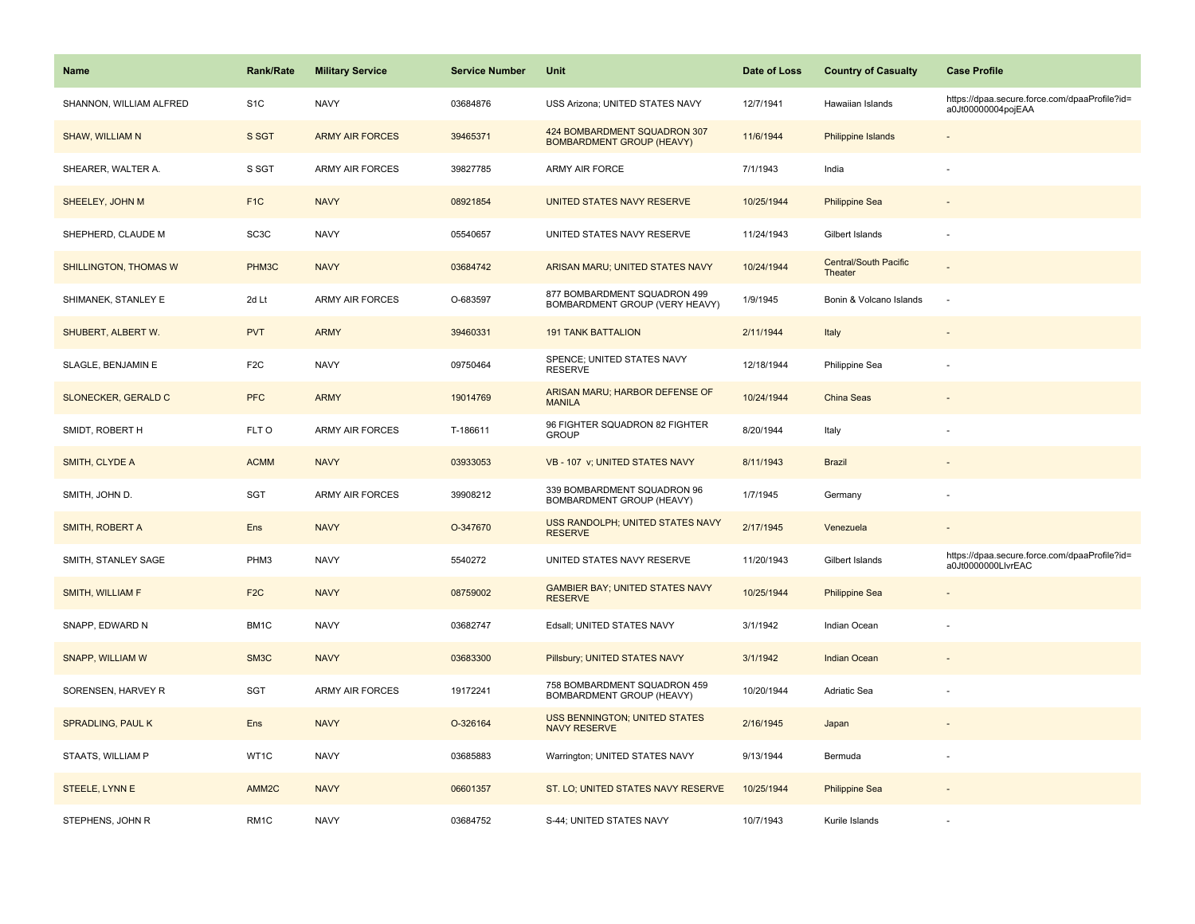| <b>Name</b>             | <b>Rank/Rate</b>  | <b>Military Service</b> | <b>Service Number</b> | Unit                                                             | Date of Loss | <b>Country of Casualty</b>              | <b>Case Profile</b>                                                 |
|-------------------------|-------------------|-------------------------|-----------------------|------------------------------------------------------------------|--------------|-----------------------------------------|---------------------------------------------------------------------|
| SHANNON, WILLIAM ALFRED | S <sub>1</sub> C  | <b>NAVY</b>             | 03684876              | USS Arizona; UNITED STATES NAVY                                  | 12/7/1941    | Hawaiian Islands                        | https://dpaa.secure.force.com/dpaaProfile?id=<br>a0Jt00000004pojEAA |
| <b>SHAW, WILLIAM N</b>  | S SGT             | <b>ARMY AIR FORCES</b>  | 39465371              | 424 BOMBARDMENT SQUADRON 307<br><b>BOMBARDMENT GROUP (HEAVY)</b> | 11/6/1944    | <b>Philippine Islands</b>               |                                                                     |
| SHEARER, WALTER A.      | S SGT             | ARMY AIR FORCES         | 39827785              | ARMY AIR FORCE                                                   | 7/1/1943     | India                                   |                                                                     |
| SHEELEY, JOHN M         | F <sub>1</sub> C  | <b>NAVY</b>             | 08921854              | UNITED STATES NAVY RESERVE                                       | 10/25/1944   | <b>Philippine Sea</b>                   |                                                                     |
| SHEPHERD, CLAUDE M      | SC <sub>3</sub> C | <b>NAVY</b>             | 05540657              | UNITED STATES NAVY RESERVE                                       | 11/24/1943   | Gilbert Islands                         |                                                                     |
| SHILLINGTON, THOMAS W   | PHM3C             | <b>NAVY</b>             | 03684742              | ARISAN MARU; UNITED STATES NAVY                                  | 10/24/1944   | <b>Central/South Pacific</b><br>Theater |                                                                     |
| SHIMANEK, STANLEY E     | 2d Lt             | <b>ARMY AIR FORCES</b>  | O-683597              | 877 BOMBARDMENT SQUADRON 499<br>BOMBARDMENT GROUP (VERY HEAVY)   | 1/9/1945     | Bonin & Volcano Islands                 | $\overline{\phantom{a}}$                                            |
| SHUBERT, ALBERT W.      | <b>PVT</b>        | <b>ARMY</b>             | 39460331              | <b>191 TANK BATTALION</b>                                        | 2/11/1944    | Italy                                   |                                                                     |
| SLAGLE, BENJAMIN E      | F <sub>2</sub> C  | <b>NAVY</b>             | 09750464              | SPENCE; UNITED STATES NAVY<br><b>RESERVE</b>                     | 12/18/1944   | Philippine Sea                          |                                                                     |
| SLONECKER, GERALD C     | <b>PFC</b>        | <b>ARMY</b>             | 19014769              | ARISAN MARU; HARBOR DEFENSE OF<br><b>MANILA</b>                  | 10/24/1944   | China Seas                              |                                                                     |
| SMIDT, ROBERT H         | FLT O             | <b>ARMY AIR FORCES</b>  | T-186611              | 96 FIGHTER SQUADRON 82 FIGHTER<br><b>GROUP</b>                   | 8/20/1944    | Italy                                   |                                                                     |
| SMITH, CLYDE A          | <b>ACMM</b>       | <b>NAVY</b>             | 03933053              | VB - 107 v; UNITED STATES NAVY                                   | 8/11/1943    | <b>Brazil</b>                           |                                                                     |
| SMITH, JOHN D.          | SGT               | <b>ARMY AIR FORCES</b>  | 39908212              | 339 BOMBARDMENT SQUADRON 96<br>BOMBARDMENT GROUP (HEAVY)         | 1/7/1945     | Germany                                 |                                                                     |
| SMITH, ROBERT A         | Ens               | <b>NAVY</b>             | O-347670              | USS RANDOLPH; UNITED STATES NAVY<br><b>RESERVE</b>               | 2/17/1945    | Venezuela                               |                                                                     |
| SMITH, STANLEY SAGE     | PHM3              | <b>NAVY</b>             | 5540272               | UNITED STATES NAVY RESERVE                                       | 11/20/1943   | Gilbert Islands                         | https://dpaa.secure.force.com/dpaaProfile?id=<br>a0Jt0000000LlvrEAC |
| <b>SMITH, WILLIAM F</b> | F <sub>2C</sub>   | <b>NAVY</b>             | 08759002              | <b>GAMBIER BAY; UNITED STATES NAVY</b><br><b>RESERVE</b>         | 10/25/1944   | <b>Philippine Sea</b>                   |                                                                     |
| SNAPP, EDWARD N         | BM1C              | <b>NAVY</b>             | 03682747              | Edsall; UNITED STATES NAVY                                       | 3/1/1942     | Indian Ocean                            |                                                                     |
| SNAPP, WILLIAM W        | SM3C              | <b>NAVY</b>             | 03683300              | Pillsbury; UNITED STATES NAVY                                    | 3/1/1942     | <b>Indian Ocean</b>                     |                                                                     |
| SORENSEN, HARVEY R      | <b>SGT</b>        | <b>ARMY AIR FORCES</b>  | 19172241              | 758 BOMBARDMENT SQUADRON 459<br>BOMBARDMENT GROUP (HEAVY)        | 10/20/1944   | Adriatic Sea                            |                                                                     |
| SPRADLING, PAUL K       | Ens               | <b>NAVY</b>             | O-326164              | USS BENNINGTON; UNITED STATES<br><b>NAVY RESERVE</b>             | 2/16/1945    | Japan                                   |                                                                     |
| STAATS, WILLIAM P       | WT1C              | <b>NAVY</b>             | 03685883              | Warrington; UNITED STATES NAVY                                   | 9/13/1944    | Bermuda                                 |                                                                     |
| STEELE, LYNN E          | AMM <sub>2C</sub> | <b>NAVY</b>             | 06601357              | ST. LO; UNITED STATES NAVY RESERVE                               | 10/25/1944   | <b>Philippine Sea</b>                   |                                                                     |
| STEPHENS, JOHN R        | RM <sub>1C</sub>  | <b>NAVY</b>             | 03684752              | S-44; UNITED STATES NAVY                                         | 10/7/1943    | Kurile Islands                          |                                                                     |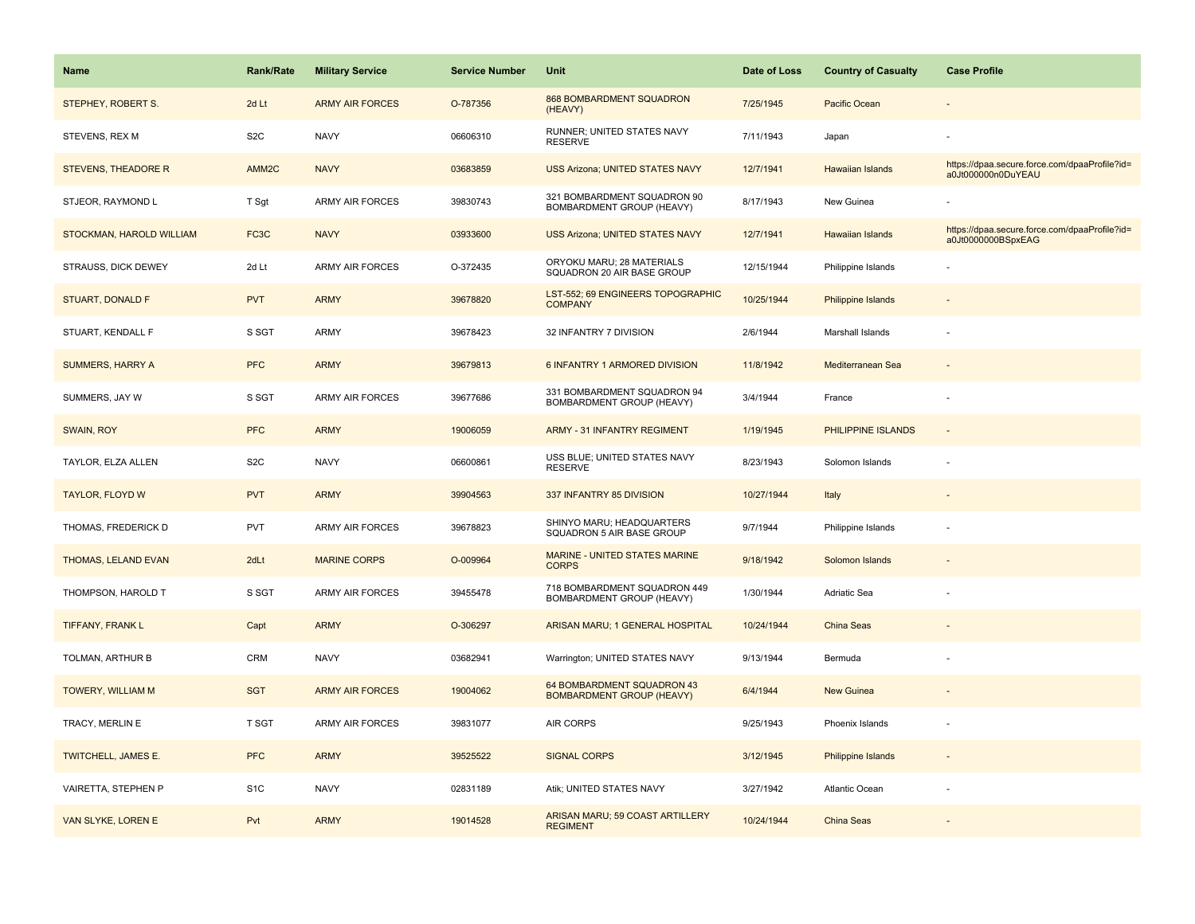| <b>Name</b>                | Rank/Rate         | <b>Military Service</b> | <b>Service Number</b> | Unit                                                           | Date of Loss | <b>Country of Casualty</b> | <b>Case Profile</b>                                                 |
|----------------------------|-------------------|-------------------------|-----------------------|----------------------------------------------------------------|--------------|----------------------------|---------------------------------------------------------------------|
| STEPHEY, ROBERT S.         | 2d Lt             | <b>ARMY AIR FORCES</b>  | O-787356              | 868 BOMBARDMENT SQUADRON<br>(HEAVY)                            | 7/25/1945    | Pacific Ocean              |                                                                     |
| STEVENS, REX M             | S <sub>2</sub> C  | <b>NAVY</b>             | 06606310              | RUNNER; UNITED STATES NAVY<br><b>RESERVE</b>                   | 7/11/1943    | Japan                      |                                                                     |
| <b>STEVENS, THEADORE R</b> | AMM2C             | <b>NAVY</b>             | 03683859              | <b>USS Arizona; UNITED STATES NAVY</b>                         | 12/7/1941    | Hawaiian Islands           | https://dpaa.secure.force.com/dpaaProfile?id=<br>a0Jt000000n0DuYEAU |
| STJEOR, RAYMOND L          | T Sgt             | <b>ARMY AIR FORCES</b>  | 39830743              | 321 BOMBARDMENT SQUADRON 90<br>BOMBARDMENT GROUP (HEAVY)       | 8/17/1943    | New Guinea                 |                                                                     |
| STOCKMAN, HAROLD WILLIAM   | FC <sub>3</sub> C | <b>NAVY</b>             | 03933600              | <b>USS Arizona; UNITED STATES NAVY</b>                         | 12/7/1941    | Hawaiian Islands           | https://dpaa.secure.force.com/dpaaProfile?id=<br>a0Jt0000000BSpxEAG |
| STRAUSS, DICK DEWEY        | 2d Lt             | <b>ARMY AIR FORCES</b>  | O-372435              | ORYOKU MARU; 28 MATERIALS<br>SQUADRON 20 AIR BASE GROUP        | 12/15/1944   | Philippine Islands         |                                                                     |
| <b>STUART, DONALD F</b>    | <b>PVT</b>        | <b>ARMY</b>             | 39678820              | LST-552; 69 ENGINEERS TOPOGRAPHIC<br><b>COMPANY</b>            | 10/25/1944   | Philippine Islands         |                                                                     |
| STUART, KENDALL F          | S SGT             | ARMY                    | 39678423              | 32 INFANTRY 7 DIVISION                                         | 2/6/1944     | Marshall Islands           |                                                                     |
| <b>SUMMERS, HARRY A</b>    | <b>PFC</b>        | <b>ARMY</b>             | 39679813              | 6 INFANTRY 1 ARMORED DIVISION                                  | 11/8/1942    | Mediterranean Sea          |                                                                     |
| SUMMERS, JAY W             | S SGT             | <b>ARMY AIR FORCES</b>  | 39677686              | 331 BOMBARDMENT SQUADRON 94<br>BOMBARDMENT GROUP (HEAVY)       | 3/4/1944     | France                     | ÷,                                                                  |
| SWAIN, ROY                 | <b>PFC</b>        | <b>ARMY</b>             | 19006059              | <b>ARMY - 31 INFANTRY REGIMENT</b>                             | 1/19/1945    | PHILIPPINE ISLANDS         |                                                                     |
| TAYLOR, ELZA ALLEN         | S <sub>2</sub> C  | <b>NAVY</b>             | 06600861              | USS BLUE; UNITED STATES NAVY<br><b>RESERVE</b>                 | 8/23/1943    | Solomon Islands            |                                                                     |
| <b>TAYLOR, FLOYD W</b>     | <b>PVT</b>        | <b>ARMY</b>             | 39904563              | 337 INFANTRY 85 DIVISION                                       | 10/27/1944   | Italy                      |                                                                     |
| THOMAS, FREDERICK D        | PVT               | <b>ARMY AIR FORCES</b>  | 39678823              | SHINYO MARU; HEADQUARTERS<br>SQUADRON 5 AIR BASE GROUP         | 9/7/1944     | Philippine Islands         |                                                                     |
| THOMAS, LELAND EVAN        | 2dLt              | <b>MARINE CORPS</b>     | O-009964              | MARINE - UNITED STATES MARINE<br><b>CORPS</b>                  | 9/18/1942    | Solomon Islands            |                                                                     |
| THOMPSON, HAROLD T         | S SGT             | <b>ARMY AIR FORCES</b>  | 39455478              | 718 BOMBARDMENT SQUADRON 449<br>BOMBARDMENT GROUP (HEAVY)      | 1/30/1944    | Adriatic Sea               |                                                                     |
| TIFFANY, FRANK L           | Capt              | <b>ARMY</b>             | O-306297              | ARISAN MARU; 1 GENERAL HOSPITAL                                | 10/24/1944   | <b>China Seas</b>          |                                                                     |
| TOLMAN, ARTHUR B           | <b>CRM</b>        | <b>NAVY</b>             | 03682941              | Warrington; UNITED STATES NAVY                                 | 9/13/1944    | Bermuda                    |                                                                     |
| TOWERY, WILLIAM M          | <b>SGT</b>        | <b>ARMY AIR FORCES</b>  | 19004062              | 64 BOMBARDMENT SQUADRON 43<br><b>BOMBARDMENT GROUP (HEAVY)</b> | 6/4/1944     | <b>New Guinea</b>          |                                                                     |
| TRACY, MERLIN E            | T SGT             | <b>ARMY AIR FORCES</b>  | 39831077              | <b>AIR CORPS</b>                                               | 9/25/1943    | Phoenix Islands            |                                                                     |
| TWITCHELL, JAMES E.        | <b>PFC</b>        | <b>ARMY</b>             | 39525522              | <b>SIGNAL CORPS</b>                                            | 3/12/1945    | <b>Philippine Islands</b>  |                                                                     |
| VAIRETTA, STEPHEN P        | S <sub>1</sub> C  | <b>NAVY</b>             | 02831189              | Atik; UNITED STATES NAVY                                       | 3/27/1942    | Atlantic Ocean             |                                                                     |
| <b>VAN SLYKE, LOREN E</b>  | Pvt               | <b>ARMY</b>             | 19014528              | ARISAN MARU; 59 COAST ARTILLERY<br><b>REGIMENT</b>             | 10/24/1944   | <b>China Seas</b>          |                                                                     |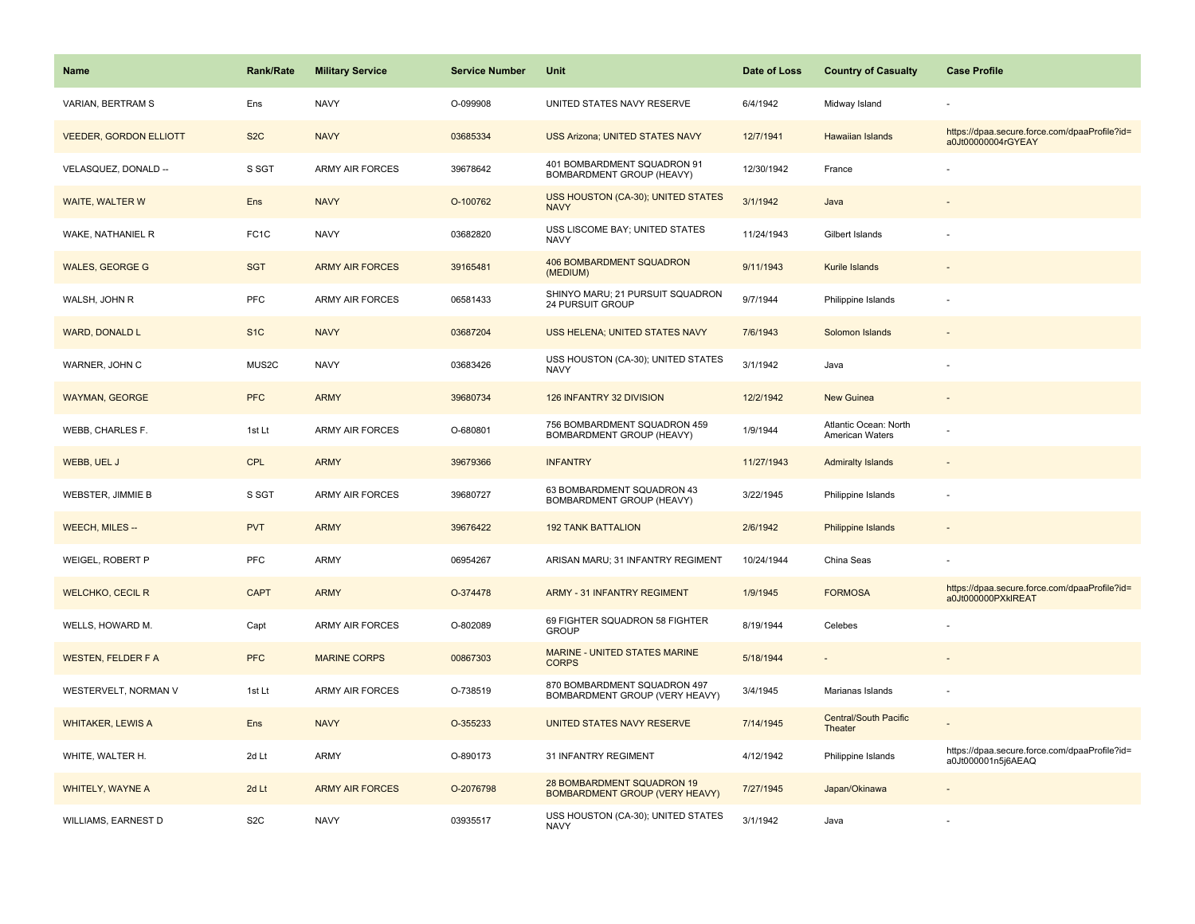| <b>Name</b>                   | <b>Rank/Rate</b>  | <b>Military Service</b> | <b>Service Number</b> | Unit                                                           | Date of Loss | <b>Country of Casualty</b>               | <b>Case Profile</b>                                                 |
|-------------------------------|-------------------|-------------------------|-----------------------|----------------------------------------------------------------|--------------|------------------------------------------|---------------------------------------------------------------------|
| VARIAN, BERTRAM S             | Ens               | <b>NAVY</b>             | O-099908              | UNITED STATES NAVY RESERVE                                     | 6/4/1942     | Midway Island                            |                                                                     |
| <b>VEEDER, GORDON ELLIOTT</b> | S <sub>2</sub> C  | <b>NAVY</b>             | 03685334              | <b>USS Arizona; UNITED STATES NAVY</b>                         | 12/7/1941    | <b>Hawaiian Islands</b>                  | https://dpaa.secure.force.com/dpaaProfile?id=<br>a0Jt00000004rGYEAY |
| VELASQUEZ, DONALD --          | S SGT             | ARMY AIR FORCES         | 39678642              | 401 BOMBARDMENT SQUADRON 91<br>BOMBARDMENT GROUP (HEAVY)       | 12/30/1942   | France                                   |                                                                     |
| WAITE, WALTER W               | Ens               | <b>NAVY</b>             | O-100762              | USS HOUSTON (CA-30); UNITED STATES<br><b>NAVY</b>              | 3/1/1942     | Java                                     |                                                                     |
| WAKE, NATHANIEL R             | FC <sub>1</sub> C | <b>NAVY</b>             | 03682820              | USS LISCOME BAY; UNITED STATES<br><b>NAVY</b>                  | 11/24/1943   | Gilbert Islands                          |                                                                     |
| <b>WALES, GEORGE G</b>        | <b>SGT</b>        | <b>ARMY AIR FORCES</b>  | 39165481              | 406 BOMBARDMENT SQUADRON<br>(MEDIUM)                           | 9/11/1943    | Kurile Islands                           |                                                                     |
| WALSH, JOHN R                 | <b>PFC</b>        | <b>ARMY AIR FORCES</b>  | 06581433              | SHINYO MARU; 21 PURSUIT SQUADRON<br>24 PURSUIT GROUP           | 9/7/1944     | Philippine Islands                       |                                                                     |
| <b>WARD, DONALD L</b>         | S <sub>1</sub> C  | <b>NAVY</b>             | 03687204              | USS HELENA; UNITED STATES NAVY                                 | 7/6/1943     | Solomon Islands                          |                                                                     |
| WARNER, JOHN C                | MUS2C             | <b>NAVY</b>             | 03683426              | USS HOUSTON (CA-30); UNITED STATES<br><b>NAVY</b>              | 3/1/1942     | Java                                     |                                                                     |
| <b>WAYMAN, GEORGE</b>         | <b>PFC</b>        | <b>ARMY</b>             | 39680734              | 126 INFANTRY 32 DIVISION                                       | 12/2/1942    | <b>New Guinea</b>                        |                                                                     |
| WEBB, CHARLES F.              | 1st Lt            | <b>ARMY AIR FORCES</b>  | O-680801              | 756 BOMBARDMENT SQUADRON 459<br>BOMBARDMENT GROUP (HEAVY)      | 1/9/1944     | Atlantic Ocean: North<br>American Waters |                                                                     |
| WEBB, UEL J                   | <b>CPL</b>        | <b>ARMY</b>             | 39679366              | <b>INFANTRY</b>                                                | 11/27/1943   | <b>Admiralty Islands</b>                 |                                                                     |
| WEBSTER, JIMMIE B             | S SGT             | <b>ARMY AIR FORCES</b>  | 39680727              | 63 BOMBARDMENT SQUADRON 43<br>BOMBARDMENT GROUP (HEAVY)        | 3/22/1945    | Philippine Islands                       |                                                                     |
| <b>WEECH, MILES --</b>        | <b>PVT</b>        | <b>ARMY</b>             | 39676422              | <b>192 TANK BATTALION</b>                                      | 2/6/1942     | Philippine Islands                       | $\sim$                                                              |
| WEIGEL, ROBERT P              | PFC               | <b>ARMY</b>             | 06954267              | ARISAN MARU; 31 INFANTRY REGIMENT                              | 10/24/1944   | China Seas                               |                                                                     |
| <b>WELCHKO, CECIL R</b>       | <b>CAPT</b>       | <b>ARMY</b>             | O-374478              | <b>ARMY - 31 INFANTRY REGIMENT</b>                             | 1/9/1945     | <b>FORMOSA</b>                           | https://dpaa.secure.force.com/dpaaProfile?id=<br>a0Jt000000PXkIREAT |
| WELLS, HOWARD M.              | Capt              | <b>ARMY AIR FORCES</b>  | O-802089              | 69 FIGHTER SQUADRON 58 FIGHTER<br><b>GROUP</b>                 | 8/19/1944    | Celebes                                  |                                                                     |
| <b>WESTEN, FELDER F A</b>     | <b>PFC</b>        | <b>MARINE CORPS</b>     | 00867303              | MARINE - UNITED STATES MARINE<br><b>CORPS</b>                  | 5/18/1944    |                                          |                                                                     |
| WESTERVELT, NORMAN V          | 1st Lt            | <b>ARMY AIR FORCES</b>  | O-738519              | 870 BOMBARDMENT SQUADRON 497<br>BOMBARDMENT GROUP (VERY HEAVY) | 3/4/1945     | Marianas Islands                         |                                                                     |
| <b>WHITAKER, LEWIS A</b>      | Ens               | <b>NAVY</b>             | O-355233              | UNITED STATES NAVY RESERVE                                     | 7/14/1945    | <b>Central/South Pacific</b><br>Theater  |                                                                     |
| WHITE, WALTER H.              | 2d Lt             | ARMY                    | O-890173              | 31 INFANTRY REGIMENT                                           | 4/12/1942    | Philippine Islands                       | https://dpaa.secure.force.com/dpaaProfile?id=<br>a0Jt000001n5j6AEAQ |
| <b>WHITELY, WAYNE A</b>       | 2d Lt             | <b>ARMY AIR FORCES</b>  | O-2076798             | 28 BOMBARDMENT SQUADRON 19<br>BOMBARDMENT GROUP (VERY HEAVY)   | 7/27/1945    | Japan/Okinawa                            |                                                                     |
| <b>WILLIAMS, EARNEST D</b>    | S <sub>2</sub> C  | <b>NAVY</b>             | 03935517              | USS HOUSTON (CA-30); UNITED STATES<br><b>NAVY</b>              | 3/1/1942     | Java                                     |                                                                     |